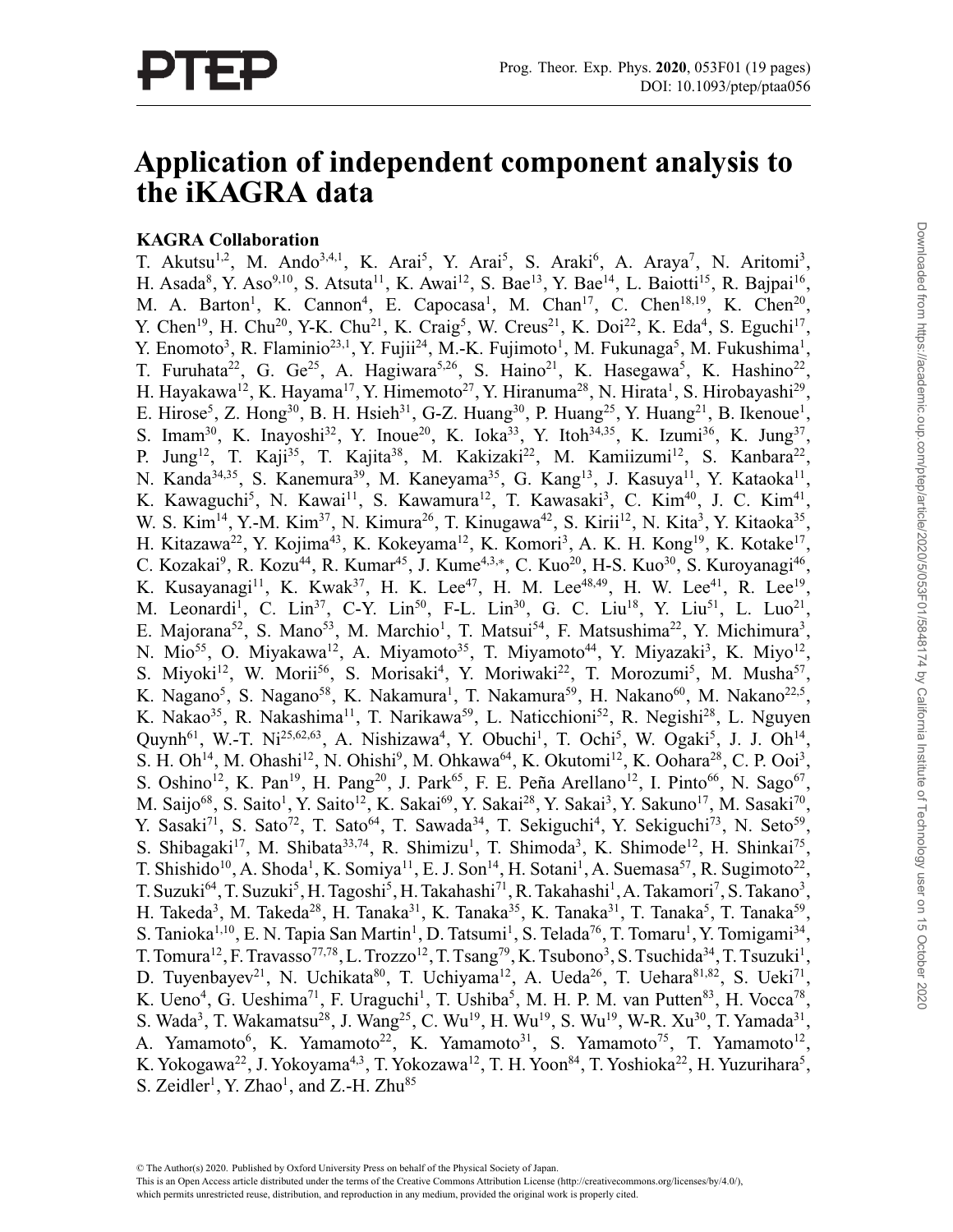# **Application of independent component analysis to the iKAGRA data**

# **KAGRA Collaboration**

T. Akutsu<sup>1,2</sup>, M. Ando<sup>3,4,1</sup>, K. Arai<sup>5</sup>, Y. Arai<sup>5</sup>, S. Araki<sup>6</sup>, A. Araya<sup>7</sup>, N. Aritomi<sup>3</sup>, H. Asada<sup>8</sup>, Y. Aso<sup>9,10</sup>, S. Atsuta<sup>11</sup>, K. Awai<sup>12</sup>, S. Bae<sup>13</sup>, Y. Bae<sup>14</sup>, L. Baiotti<sup>15</sup>, R. Bajpai<sup>16</sup>, M. A. Barton<sup>1</sup>, K. Cannon<sup>4</sup>, E. Capocasa<sup>1</sup>, M. Chan<sup>17</sup>, C. Chen<sup>18,19</sup>, K. Chen<sup>20</sup>, Y. Chen<sup>19</sup>, H. Chu<sup>20</sup>, Y-K. Chu<sup>21</sup>, K. Craig<sup>5</sup>, W. Creus<sup>21</sup>, K. Doi<sup>22</sup>, K. Eda<sup>4</sup>, S. Eguchi<sup>17</sup>, Y. Enomoto<sup>3</sup>, R. Flaminio<sup>23,1</sup>, Y. Fujii<sup>24</sup>, M.-K. Fujimoto<sup>1</sup>, M. Fukunaga<sup>5</sup>, M. Fukushima<sup>1</sup>, T. Furuhata<sup>22</sup>, G. Ge<sup>25</sup>, A. Hagiwara<sup>5,26</sup>, S. Haino<sup>21</sup>, K. Hasegawa<sup>5</sup>, K. Hashino<sup>22</sup>, H. Hayakawa<sup>12</sup>, K. Hayama<sup>17</sup>, Y. Himemoto<sup>27</sup>, Y. Hiranuma<sup>28</sup>, N. Hirata<sup>1</sup>, S. Hirobayashi<sup>29</sup>, E. Hirose<sup>5</sup>, Z. Hong<sup>30</sup>, B. H. Hsieh<sup>31</sup>, G-Z. Huang<sup>30</sup>, P. Huang<sup>25</sup>, Y. Huang<sup>21</sup>, B. Ikenoue<sup>1</sup>, S. Imam<sup>30</sup>, K. Inayoshi<sup>32</sup>, Y. Inoue<sup>20</sup>, K. Ioka<sup>33</sup>, Y. Itoh<sup>34,35</sup>, K. Izumi<sup>36</sup>, K. Jung<sup>37</sup>, P. Jung<sup>12</sup>, T. Kaji<sup>35</sup>, T. Kajita<sup>38</sup>, M. Kakizaki<sup>22</sup>, M. Kamiizumi<sup>12</sup>, S. Kanbara<sup>22</sup>, N. Kanda<sup>34,35</sup>, S. Kanemura<sup>39</sup>, M. Kaneyama<sup>35</sup>, G. Kang<sup>13</sup>, J. Kasuya<sup>11</sup>, Y. Kataoka<sup>11</sup>, K. Kawaguchi<sup>5</sup>, N. Kawai<sup>11</sup>, S. Kawamura<sup>12</sup>, T. Kawasaki<sup>3</sup>, C. Kim<sup>40</sup>, J. C. Kim<sup>41</sup>, W. S. Kim<sup>14</sup>, Y.-M. Kim<sup>37</sup>, N. Kimura<sup>26</sup>, T. Kinugawa<sup>42</sup>, S. Kirii<sup>12</sup>, N. Kita<sup>3</sup>, Y. Kitaoka<sup>35</sup>, H. Kitazawa<sup>22</sup>, Y. Kojima<sup>43</sup>, K. Kokeyama<sup>12</sup>, K. Komori<sup>3</sup>, A. K. H. Kong<sup>19</sup>, K. Kotake<sup>17</sup>, C. Kozakai<sup>9</sup>, R. Kozu<sup>44</sup>, R. Kumar<sup>45</sup>, J. Kume<sup>4,3,\*</sup>, C. Kuo<sup>20</sup>, H-S. Kuo<sup>30</sup>, S. Kuroyanagi<sup>46</sup>, K. Kusayanagi<sup>11</sup>, K. Kwak<sup>37</sup>, H. K. Lee<sup>47</sup>, H. M. Lee<sup>48,49</sup>, H. W. Lee<sup>41</sup>, R. Lee<sup>19</sup>, M. Leonardi<sup>1</sup>, C. Lin<sup>37</sup>, C-Y. Lin<sup>50</sup>, F-L. Lin<sup>30</sup>, G. C. Liu<sup>18</sup>, Y. Liu<sup>51</sup>, L. Luo<sup>21</sup>, E. Majorana<sup>52</sup>, S. Mano<sup>53</sup>, M. Marchio<sup>1</sup>, T. Matsui<sup>54</sup>, F. Matsushima<sup>22</sup>, Y. Michimura<sup>3</sup>, N. Mio<sup>55</sup>, O. Miyakawa<sup>12</sup>, A. Miyamoto<sup>35</sup>, T. Miyamoto<sup>44</sup>, Y. Miyazaki<sup>3</sup>, K. Miyo<sup>12</sup>, S. Miyoki<sup>12</sup>, W. Morii<sup>56</sup>, S. Morisaki<sup>4</sup>, Y. Moriwaki<sup>22</sup>, T. Morozumi<sup>5</sup>, M. Musha<sup>57</sup>, K. Nagano<sup>5</sup>, S. Nagano<sup>58</sup>, K. Nakamura<sup>1</sup>, T. Nakamura<sup>59</sup>, H. Nakano<sup>60</sup>, M. Nakano<sup>22,5</sup>, K. Nakao<sup>35</sup>, R. Nakashima<sup>11</sup>, T. Narikawa<sup>59</sup>, L. Naticchioni<sup>52</sup>, R. Negishi<sup>28</sup>, L. Nguyen Quynh<sup>61</sup>, W.-T. Ni<sup>25,62,63</sup>, A. Nishizawa<sup>4</sup>, Y. Obuchi<sup>1</sup>, T. Ochi<sup>5</sup>, W. Ogaki<sup>5</sup>, J. J. Oh<sup>14</sup>, S. H. Oh<sup>14</sup>, M. Ohashi<sup>12</sup>, N. Ohishi<sup>9</sup>, M. Ohkawa<sup>64</sup>, K. Okutomi<sup>12</sup>, K. Oohara<sup>28</sup>, C. P. Ooi<sup>3</sup>, S. Oshino<sup>12</sup>, K. Pan<sup>19</sup>, H. Pang<sup>20</sup>, J. Park<sup>65</sup>, F. E. Peña Arellano<sup>12</sup>, I. Pinto<sup>66</sup>, N. Sago<sup>67</sup>, M. Saijo<sup>68</sup>, S. Saito<sup>1</sup>, Y. Saito<sup>12</sup>, K. Sakai<sup>69</sup>, Y. Sakai<sup>28</sup>, Y. Sakai<sup>3</sup>, Y. Sakuno<sup>17</sup>, M. Sasaki<sup>70</sup>, Y. Sasaki<sup>71</sup>, S. Sato<sup>72</sup>, T. Sato<sup>64</sup>, T. Sawada<sup>34</sup>, T. Sekiguchi<sup>4</sup>, Y. Sekiguchi<sup>73</sup>, N. Seto<sup>59</sup>, S. Shibagaki<sup>17</sup>, M. Shibata<sup>33,74</sup>, R. Shimizu<sup>1</sup>, T. Shimoda<sup>3</sup>, K. Shimode<sup>12</sup>, H. Shinkai<sup>75</sup>, T. Shishido<sup>10</sup>, A. Shoda<sup>1</sup>, K. Somiya<sup>11</sup>, E. J. Son<sup>14</sup>, H. Sotani<sup>1</sup>, A. Suemasa<sup>57</sup>, R. Sugimoto<sup>22</sup>, T. Suzuki<sup>64</sup>, T. Suzuki<sup>5</sup>, H. Tagoshi<sup>5</sup>, H. Takahashi<sup>71</sup>, R. Takahashi<sup>1</sup>, A. Takamori<sup>7</sup>, S. Takano<sup>3</sup>, H. Takeda<sup>3</sup>, M. Takeda<sup>28</sup>, H. Tanaka<sup>31</sup>, K. Tanaka<sup>35</sup>, K. Tanaka<sup>31</sup>, T. Tanaka<sup>5</sup>, T. Tanaka<sup>59</sup>, S. Tanioka<sup>1,10</sup>, E. N. Tapia San Martin<sup>1</sup>, D. Tatsumi<sup>1</sup>, S. Telada<sup>76</sup>, T. Tomaru<sup>1</sup>, Y. Tomigami<sup>34</sup>, T. Tomura<sup>12</sup>, F. Travasso<sup>77,78</sup>, L. Trozzo<sup>12</sup>, T. Tsang<sup>79</sup>, K. Tsubono<sup>3</sup>, S. Tsuchida<sup>34</sup>, T. Tsuzuki<sup>1</sup>, D. Tuyenbayev<sup>21</sup>, N. Uchikata<sup>80</sup>, T. Uchiyama<sup>12</sup>, A. Ueda<sup>26</sup>, T. Uehara<sup>81,82</sup>, S. Ueki<sup>71</sup>, K. Ueno<sup>4</sup>, G. Ueshima<sup>71</sup>, F. Uraguchi<sup>1</sup>, T. Ushiba<sup>5</sup>, M. H. P. M. van Putten<sup>83</sup>, H. Vocca<sup>78</sup>, S. Wada<sup>3</sup>, T. Wakamatsu<sup>28</sup>, J. Wang<sup>25</sup>, C. Wu<sup>19</sup>, H. Wu<sup>19</sup>, S. Wu<sup>19</sup>, W-R. Xu<sup>30</sup>, T. Yamada<sup>31</sup>, A. Yamamoto<sup>6</sup>, K. Yamamoto<sup>22</sup>, K. Yamamoto<sup>31</sup>, S. Yamamoto<sup>75</sup>, T. Yamamoto<sup>12</sup>, K. Yokogawa<sup>22</sup>, J. Yokoyama<sup>4,3</sup>, T. Yokozawa<sup>12</sup>, T. H. Yoon<sup>84</sup>, T. Yoshioka<sup>22</sup>, H. Yuzurihara<sup>5</sup>, S. Zeidler<sup>1</sup>, Y. Zhao<sup>1</sup>, and Z.-H. Zhu<sup>85</sup>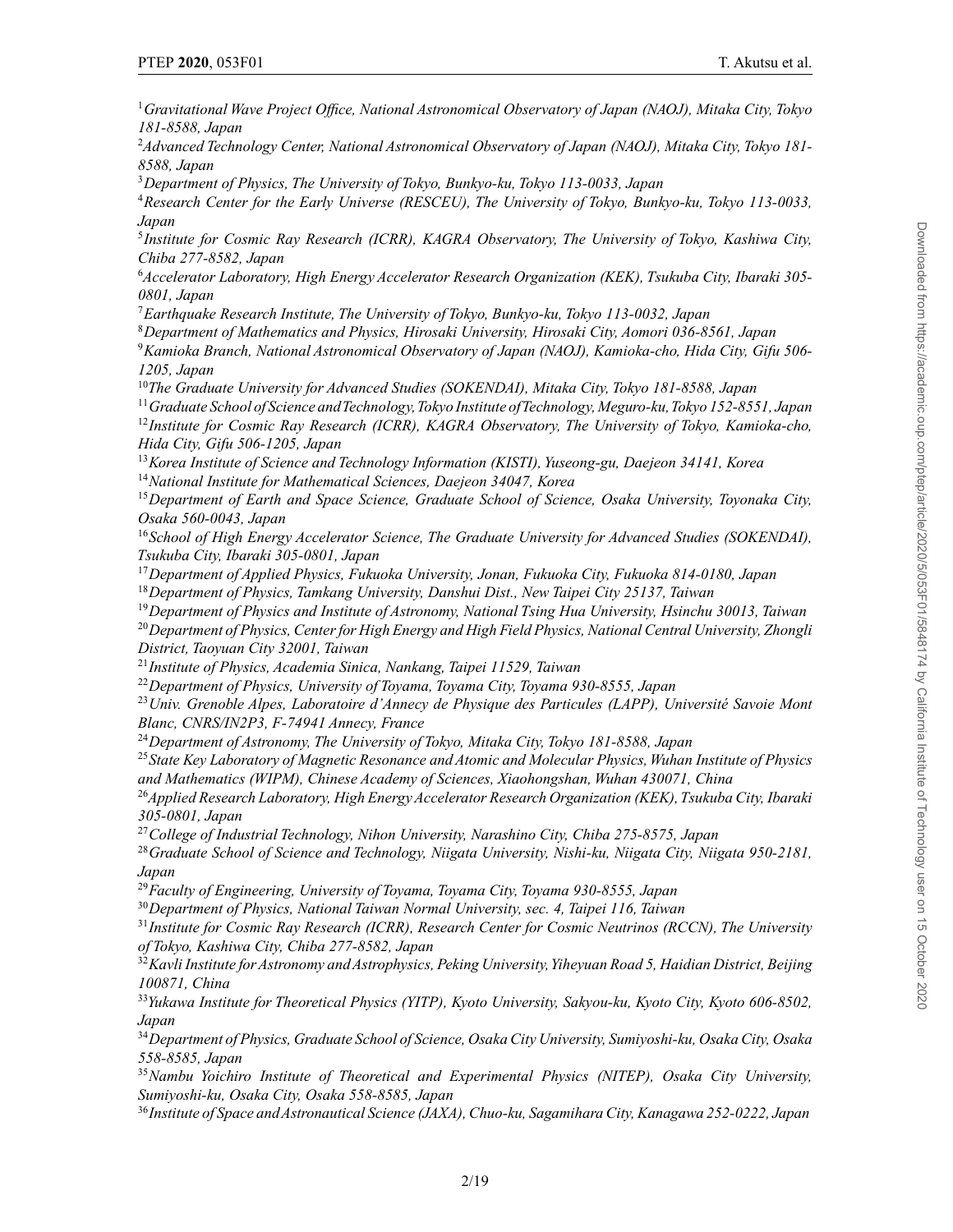*Gravitational Wave Project Office, National Astronomical Observatory of Japan (NAOJ), Mitaka City, Tokyo 181-8588, Japan*

 *Advanced Technology Center, National Astronomical Observatory of Japan (NAOJ), Mitaka City, Tokyo 181- 8588, Japan*

*Department of Physics, The University of Tokyo, Bunkyo-ku, Tokyo 113-0033, Japan*

*Research Center for the Early Universe (RESCEU), The University of Tokyo, Bunkyo-ku, Tokyo 113-0033, Japan*

*Institute for Cosmic Ray Research (ICRR), KAGRA Observatory, The University of Tokyo, Kashiwa City, Chiba 277-8582, Japan*

 *Accelerator Laboratory, High Energy Accelerator Research Organization (KEK), Tsukuba City, Ibaraki 305- 0801, Japan*

*Earthquake Research Institute, The University of Tokyo, Bunkyo-ku, Tokyo 113-0032, Japan*

*Department of Mathematics and Physics, Hirosaki University, Hirosaki City, Aomori 036-8561, Japan*

*Kamioka Branch, National Astronomical Observatory of Japan (NAOJ), Kamioka-cho, Hida City, Gifu 506- 1205, Japan*

*The Graduate University for Advanced Studies (SOKENDAI), Mitaka City, Tokyo 181-8588, Japan*

*Graduate School of Science andTechnology,Tokyo Institute ofTechnology, Meguro-ku,Tokyo 152-8551, Japan*

*Institute for Cosmic Ray Research (ICRR), KAGRA Observatory, The University of Tokyo, Kamioka-cho, Hida City, Gifu 506-1205, Japan*

*Korea Institute of Science and Technology Information (KISTI), Yuseong-gu, Daejeon 34141, Korea*

*National Institute for Mathematical Sciences, Daejeon 34047, Korea*

*Department of Earth and Space Science, Graduate School of Science, Osaka University, Toyonaka City, Osaka 560-0043, Japan*

*School of High Energy Accelerator Science, The Graduate University for Advanced Studies (SOKENDAI), Tsukuba City, Ibaraki 305-0801, Japan*

*Department of Applied Physics, Fukuoka University, Jonan, Fukuoka City, Fukuoka 814-0180, Japan Department of Physics, Tamkang University, Danshui Dist., New Taipei City 25137, Taiwan*

*Department of Physics and Institute of Astronomy, National Tsing Hua University, Hsinchu 30013, Taiwan Department of Physics, Center for High Energy and High Field Physics, National Central University, Zhongli District, Taoyuan City 32001, Taiwan*

*Institute of Physics, Academia Sinica, Nankang, Taipei 11529, Taiwan*

*Department of Physics, University of Toyama, Toyama City, Toyama 930-8555, Japan*

*Univ. Grenoble Alpes, Laboratoire d'Annecy de Physique des Particules (LAPP), Université Savoie Mont Blanc, CNRS/IN2P3, F-74941 Annecy, France*

*Department of Astronomy, The University of Tokyo, Mitaka City, Tokyo 181-8588, Japan*

*State Key Laboratory of Magnetic Resonance and Atomic and Molecular Physics, Wuhan Institute of Physics and Mathematics (WIPM), Chinese Academy of Sciences, Xiaohongshan, Wuhan 430071, China*

*Applied Research Laboratory, High EnergyAccelerator Research Organization (KEK), Tsukuba City, Ibaraki 305-0801, Japan*

*College of Industrial Technology, Nihon University, Narashino City, Chiba 275-8575, Japan*

*Graduate School of Science and Technology, Niigata University, Nishi-ku, Niigata City, Niigata 950-2181, Japan*

*Faculty of Engineering, University of Toyama, Toyama City, Toyama 930-8555, Japan*

*Department of Physics, National Taiwan Normal University, sec. 4, Taipei 116, Taiwan*

*Institute for Cosmic Ray Research (ICRR), Research Center for Cosmic Neutrinos (RCCN), The University of Tokyo, Kashiwa City, Chiba 277-8582, Japan*

*Kavli Institute forAstronomy andAstrophysics, Peking University,Yiheyuan Road 5, Haidian District, Beijing 100871, China*

*Yukawa Institute for Theoretical Physics (YITP), Kyoto University, Sakyou-ku, Kyoto City, Kyoto 606-8502, Japan*

*Department of Physics, Graduate School of Science, Osaka City University, Sumiyoshi-ku, Osaka City, Osaka 558-8585, Japan*

*Nambu Yoichiro Institute of Theoretical and Experimental Physics (NITEP), Osaka City University, Sumiyoshi-ku, Osaka City, Osaka 558-8585, Japan*

*Institute of Space andAstronautical Science (JAXA), Chuo-ku, Sagamihara City, Kanagawa 252-0222, Japan*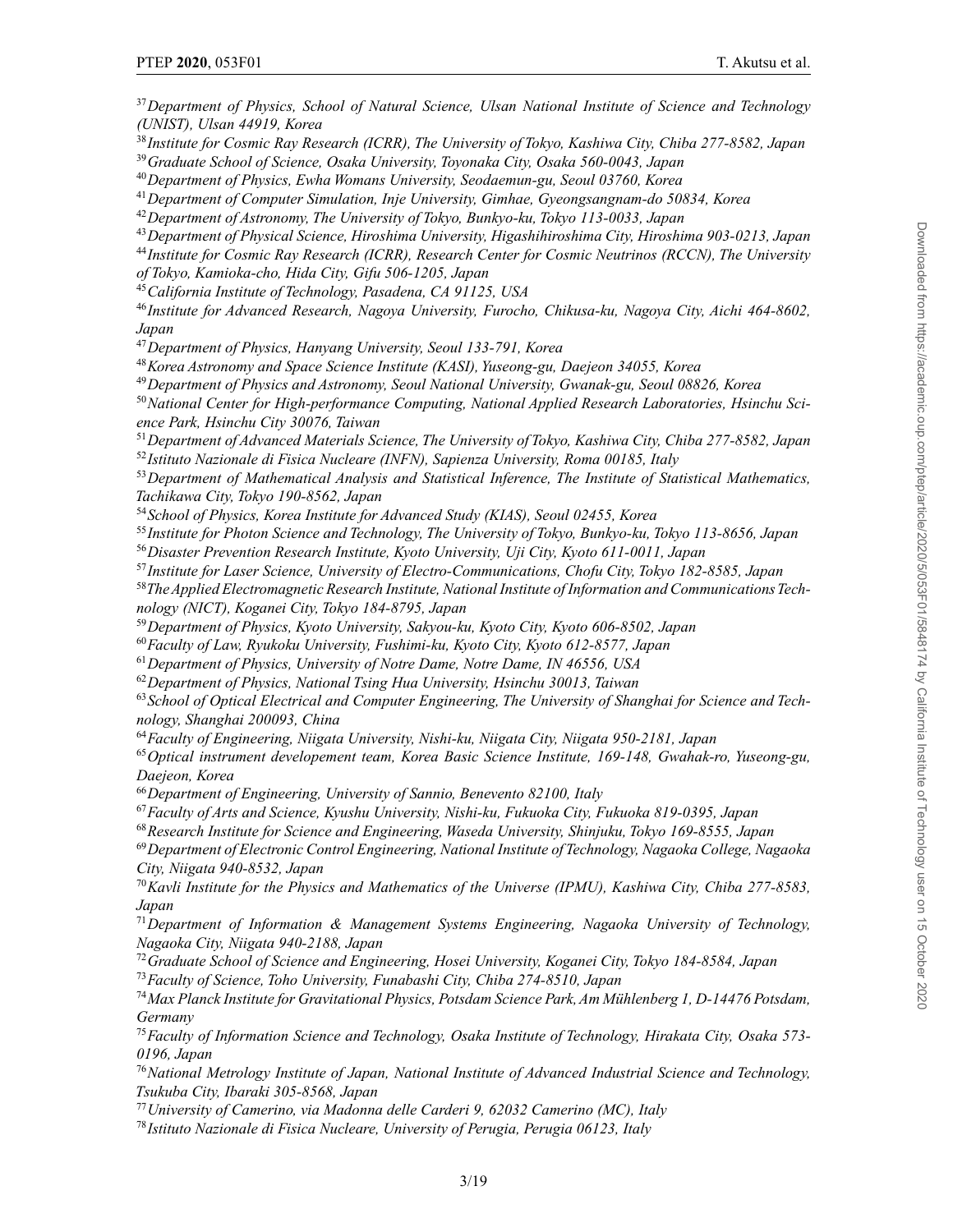*Department of Physics, School of Natural Science, Ulsan National Institute of Science and Technology (UNIST), Ulsan 44919, Korea Institute for Cosmic Ray Research (ICRR), The University of Tokyo, Kashiwa City, Chiba 277-8582, Japan Graduate School of Science, Osaka University, Toyonaka City, Osaka 560-0043, Japan Department of Physics, Ewha Womans University, Seodaemun-gu, Seoul 03760, Korea Department of Computer Simulation, Inje University, Gimhae, Gyeongsangnam-do 50834, Korea Department of Astronomy, The University of Tokyo, Bunkyo-ku, Tokyo 113-0033, Japan Department of Physical Science, Hiroshima University, Higashihiroshima City, Hiroshima 903-0213, Japan Institute for Cosmic Ray Research (ICRR), Research Center for Cosmic Neutrinos (RCCN), The University of Tokyo, Kamioka-cho, Hida City, Gifu 506-1205, Japan California Institute of Technology, Pasadena, CA 91125, USA Institute for Advanced Research, Nagoya University, Furocho, Chikusa-ku, Nagoya City, Aichi 464-8602, Japan Department of Physics, Hanyang University, Seoul 133-791, Korea Korea Astronomy and Space Science Institute (KASI), Yuseong-gu, Daejeon 34055, Korea Department of Physics and Astronomy, Seoul National University, Gwanak-gu, Seoul 08826, Korea*

*National Center for High-performance Computing, National Applied Research Laboratories, Hsinchu Science Park, Hsinchu City 30076, Taiwan*

*Department of Advanced Materials Science, The University of Tokyo, Kashiwa City, Chiba 277-8582, Japan Istituto Nazionale di Fisica Nucleare (INFN), Sapienza University, Roma 00185, Italy*

*Department of Mathematical Analysis and Statistical Inference, The Institute of Statistical Mathematics, Tachikawa City, Tokyo 190-8562, Japan*

*School of Physics, Korea Institute for Advanced Study (KIAS), Seoul 02455, Korea*

*Institute for Photon Science and Technology, The University of Tokyo, Bunkyo-ku, Tokyo 113-8656, Japan*

*Disaster Prevention Research Institute, Kyoto University, Uji City, Kyoto 611-0011, Japan*

*Institute for Laser Science, University of Electro-Communications, Chofu City, Tokyo 182-8585, Japan*

*TheApplied Electromagnetic Research Institute, National Institute of Information and CommunicationsTechnology (NICT), Koganei City, Tokyo 184-8795, Japan*

*Department of Physics, Kyoto University, Sakyou-ku, Kyoto City, Kyoto 606-8502, Japan*

*Faculty of Law, Ryukoku University, Fushimi-ku, Kyoto City, Kyoto 612-8577, Japan*

*Department of Physics, University of Notre Dame, Notre Dame, IN 46556, USA*

*Department of Physics, National Tsing Hua University, Hsinchu 30013, Taiwan*

*School of Optical Electrical and Computer Engineering, The University of Shanghai for Science and Technology, Shanghai 200093, China*

*Faculty of Engineering, Niigata University, Nishi-ku, Niigata City, Niigata 950-2181, Japan*

*Optical instrument developement team, Korea Basic Science Institute, 169-148, Gwahak-ro, Yuseong-gu, Daejeon, Korea*

*Department of Engineering, University of Sannio, Benevento 82100, Italy*

*Faculty of Arts and Science, Kyushu University, Nishi-ku, Fukuoka City, Fukuoka 819-0395, Japan*

*Research Institute for Science and Engineering, Waseda University, Shinjuku, Tokyo 169-8555, Japan*

*Department of Electronic Control Engineering, National Institute of Technology, Nagaoka College, Nagaoka City, Niigata 940-8532, Japan*

*Kavli Institute for the Physics and Mathematics of the Universe (IPMU), Kashiwa City, Chiba 277-8583, Japan*

*Department of Information & Management Systems Engineering, Nagaoka University of Technology, Nagaoka City, Niigata 940-2188, Japan*

*Graduate School of Science and Engineering, Hosei University, Koganei City, Tokyo 184-8584, Japan*

*Faculty of Science, Toho University, Funabashi City, Chiba 274-8510, Japan*

*Max Planck Institute for Gravitational Physics, Potsdam Science Park, Am Mühlenberg 1, D-14476 Potsdam, Germany*

*Faculty of Information Science and Technology, Osaka Institute of Technology, Hirakata City, Osaka 573- 0196, Japan*

*National Metrology Institute of Japan, National Institute of Advanced Industrial Science and Technology, Tsukuba City, Ibaraki 305-8568, Japan*

*University of Camerino, via Madonna delle Carderi 9, 62032 Camerino (MC), Italy*

*Istituto Nazionale di Fisica Nucleare, University of Perugia, Perugia 06123, Italy*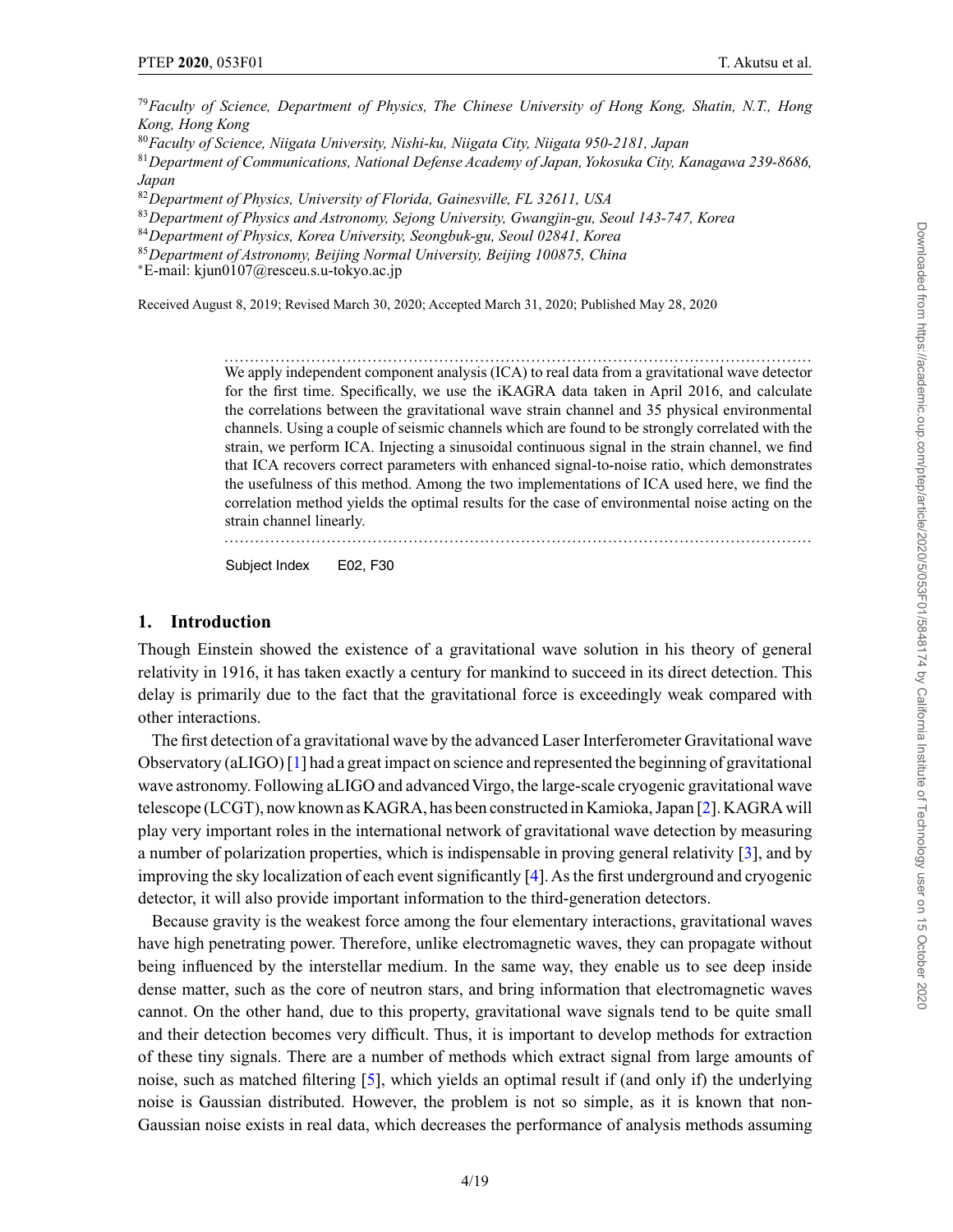<sup>79</sup>*Faculty of Science, Department of Physics, The Chinese University of Hong Kong, Shatin, N.T., Hong Kong, Hong Kong*

<sup>80</sup>*Faculty of Science, Niigata University, Nishi-ku, Niigata City, Niigata 950-2181, Japan*

<sup>81</sup>*Department of Communications, National Defense Academy of Japan, Yokosuka City, Kanagawa 239-8686, Japan*

<sup>82</sup>*Department of Physics, University of Florida, Gainesville, FL 32611, USA*

<sup>83</sup>*Department of Physics and Astronomy, Sejong University, Gwangjin-gu, Seoul 143-747, Korea*

<sup>84</sup>*Department of Physics, Korea University, Seongbuk-gu, Seoul 02841, Korea*

<sup>85</sup>*Department of Astronomy, Beijing Normal University, Beijing 100875, China* <sup>∗</sup>E-mail: kjun0107@resceu.s.u-tokyo.ac.jp

Received August 8, 2019; Revised March 30, 2020; Accepted March 31, 2020; Published May 28, 2020

................................................................................................................... We apply independent component analysis (ICA) to real data from a gravitational wave detector for the first time. Specifically, we use the iKAGRA data taken in April 2016, and calculate the correlations between the gravitational wave strain channel and 35 physical environmental channels. Using a couple of seismic channels which are found to be strongly correlated with the strain, we perform ICA. Injecting a sinusoidal continuous signal in the strain channel, we find that ICA recovers correct parameters with enhanced signal-to-noise ratio, which demonstrates the usefulness of this method. Among the two implementations of ICA used here, we find the correlation method yields the optimal results for the case of environmental noise acting on the strain channel linearly.

Subject Index E02, F30

### **1. Introduction**

Though Einstein showed the existence of a gravitational wave solution in his theory of general relativity in 1916, it has taken exactly a century for mankind to succeed in its direct detection. This delay is primarily due to the fact that the gravitational force is exceedingly weak compared with other interactions.

The first detection of a gravitational wave by the advanced Laser Interferometer Gravitational wave Observatory (aLIGO) [\[1\]](#page-17-0) had a great impact on science and represented the beginning of gravitational wave astronomy. Following aLIGO and advanced Virgo, the large-scale cryogenic gravitational wave telescope (LCGT), now known as KAGRA, has been constructed in Kamioka, Japan [\[2\]](#page-17-0). KAGRA will play very important roles in the international network of gravitational wave detection by measuring a number of polarization properties, which is indispensable in proving general relativity [\[3\]](#page-17-0), and by improving the sky localization of each event significantly [\[4](#page-17-0)]. As the first underground and cryogenic detector, it will also provide important information to the third-generation detectors.

Because gravity is the weakest force among the four elementary interactions, gravitational waves have high penetrating power. Therefore, unlike electromagnetic waves, they can propagate without being influenced by the interstellar medium. In the same way, they enable us to see deep inside dense matter, such as the core of neutron stars, and bring information that electromagnetic waves cannot. On the other hand, due to this property, gravitational wave signals tend to be quite small and their detection becomes very difficult. Thus, it is important to develop methods for extraction of these tiny signals. There are a number of methods which extract signal from large amounts of noise, such as matched filtering [\[5](#page-17-0)], which yields an optimal result if (and only if) the underlying noise is Gaussian distributed. However, the problem is not so simple, as it is known that non-Gaussian noise exists in real data, which decreases the performance of analysis methods assuming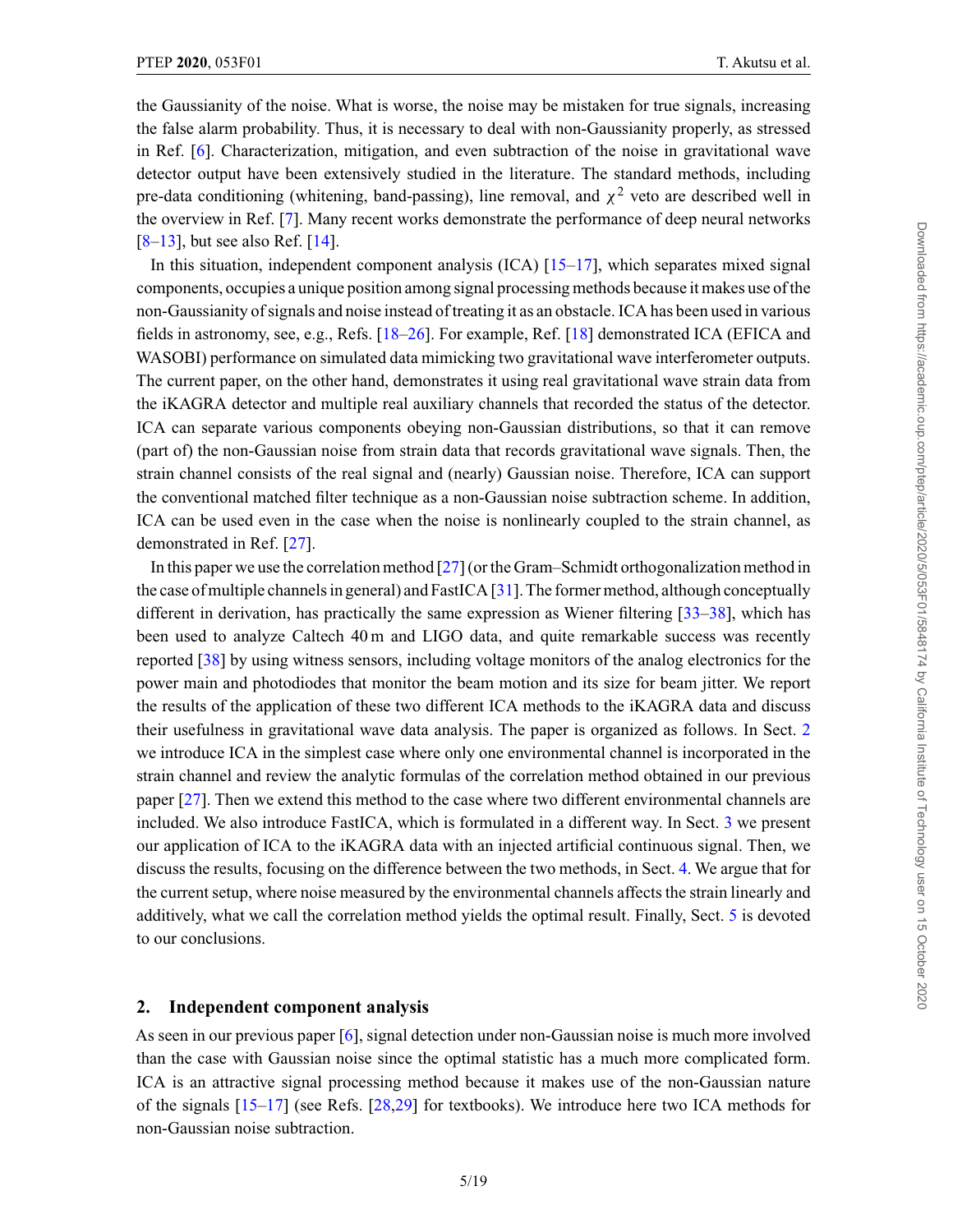<span id="page-4-0"></span>the Gaussianity of the noise. What is worse, the noise may be mistaken for true signals, increasing the false alarm probability. Thus, it is necessary to deal with non-Gaussianity properly, as stressed in Ref. [\[6\]](#page-17-0). Characterization, mitigation, and even subtraction of the noise in gravitational wave detector output have been extensively studied in the literature. The standard methods, including pre-data conditioning (whitening, band-passing), line removal, and  $\chi^2$  veto are described well in the overview in Ref. [\[7\]](#page-17-0). Many recent works demonstrate the performance of deep neural networks  $[8-13]$  $[8-13]$ , but see also Ref.  $[14]$ .

In this situation, independent component analysis (ICA) [\[15–17\]](#page-18-0), which separates mixed signal components, occupies a unique position among signal processing methods because it makes use of the non-Gaussianity of signals and noise instead of treating it as an obstacle. ICA has been used in various fields in astronomy, see, e.g., Refs. [\[18–26](#page-18-0)]. For example, Ref. [\[18\]](#page-18-0) demonstrated ICA (EFICA and WASOBI) performance on simulated data mimicking two gravitational wave interferometer outputs. The current paper, on the other hand, demonstrates it using real gravitational wave strain data from the iKAGRA detector and multiple real auxiliary channels that recorded the status of the detector. ICA can separate various components obeying non-Gaussian distributions, so that it can remove (part of) the non-Gaussian noise from strain data that records gravitational wave signals. Then, the strain channel consists of the real signal and (nearly) Gaussian noise. Therefore, ICA can support the conventional matched filter technique as a non-Gaussian noise subtraction scheme. In addition, ICA can be used even in the case when the noise is nonlinearly coupled to the strain channel, as demonstrated in Ref. [\[27\]](#page-18-0).

In this paper we use the correlation method [\[27](#page-18-0)] (or the Gram–Schmidt orthogonalization method in the case of multiple channels in general) and FastICA [\[31](#page-18-0)]. The former method, although conceptually different in derivation, has practically the same expression as Wiener filtering [\[33–38\]](#page-18-0), which has been used to analyze Caltech 40 m and LIGO data, and quite remarkable success was recently reported [\[38\]](#page-18-0) by using witness sensors, including voltage monitors of the analog electronics for the power main and photodiodes that monitor the beam motion and its size for beam jitter. We report the results of the application of these two different ICA methods to the iKAGRA data and discuss their usefulness in gravitational wave data analysis. The paper is organized as follows. In Sect. 2 we introduce ICA in the simplest case where only one environmental channel is incorporated in the strain channel and review the analytic formulas of the correlation method obtained in our previous paper [\[27](#page-18-0)]. Then we extend this method to the case where two different environmental channels are included. We also introduce FastICA, which is formulated in a different way. In Sect. [3](#page-9-0) we present our application of ICA to the iKAGRA data with an injected artificial continuous signal. Then, we discuss the results, focusing on the difference between the two methods, in Sect. [4.](#page-15-0) We argue that for the current setup, where noise measured by the environmental channels affects the strain linearly and additively, what we call the correlation method yields the optimal result. Finally, Sect. [5](#page-16-0) is devoted to our conclusions.

#### **2. Independent component analysis**

As seen in our previous paper [\[6\]](#page-17-0), signal detection under non-Gaussian noise is much more involved than the case with Gaussian noise since the optimal statistic has a much more complicated form. ICA is an attractive signal processing method because it makes use of the non-Gaussian nature of the signals [\[15–17](#page-18-0)] (see Refs. [\[28,29](#page-18-0)] for textbooks). We introduce here two ICA methods for non-Gaussian noise subtraction.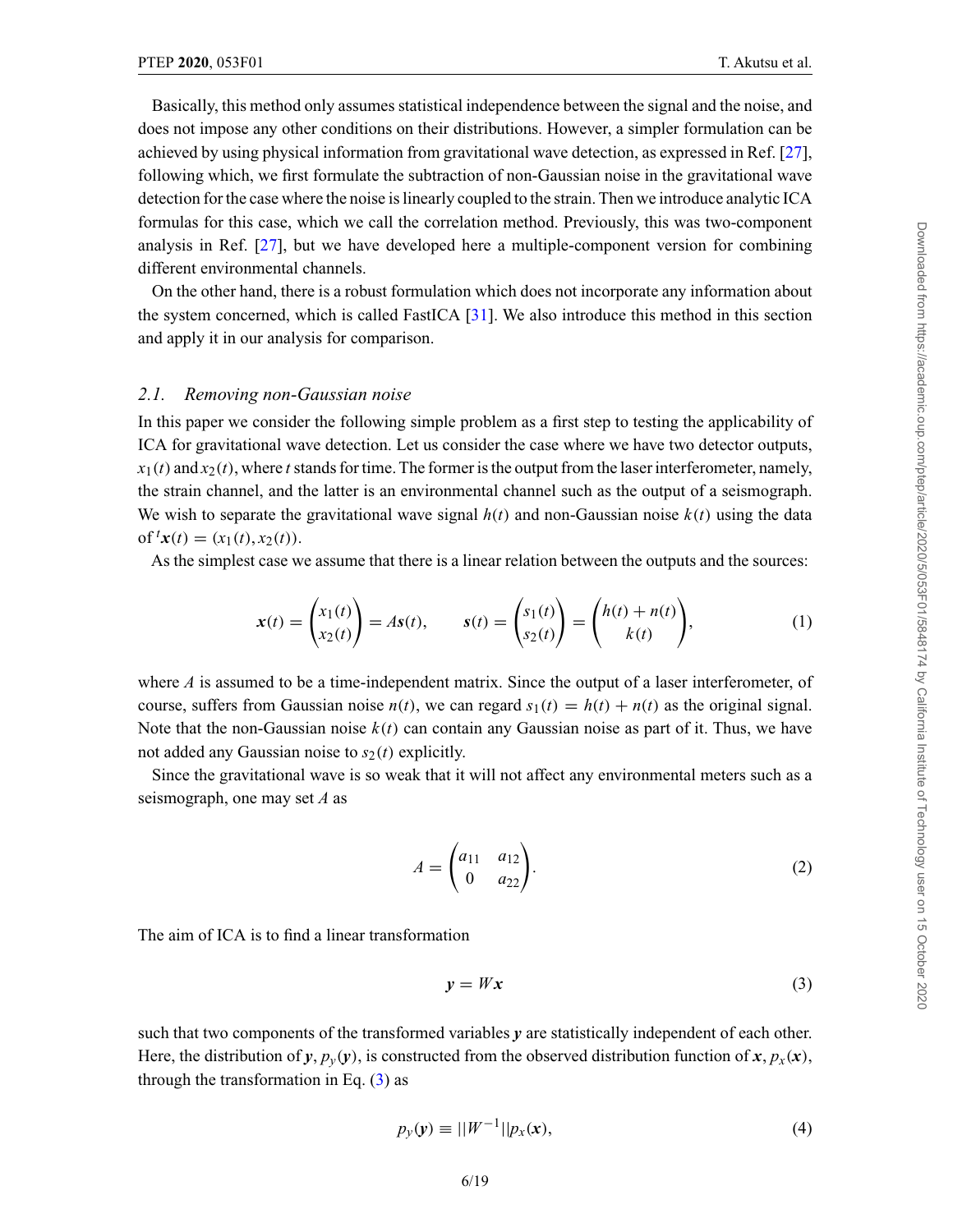<span id="page-5-0"></span>Basically, this method only assumes statistical independence between the signal and the noise, and does not impose any other conditions on their distributions. However, a simpler formulation can be achieved by using physical information from gravitational wave detection, as expressed in Ref. [\[27\]](#page-18-0), following which, we first formulate the subtraction of non-Gaussian noise in the gravitational wave detection for the case where the noise is linearly coupled to the strain. Then we introduce analytic ICA formulas for this case, which we call the correlation method. Previously, this was two-component analysis in Ref. [\[27](#page-18-0)], but we have developed here a multiple-component version for combining different environmental channels.

On the other hand, there is a robust formulation which does not incorporate any information about the system concerned, which is called FastICA [\[31\]](#page-18-0). We also introduce this method in this section and apply it in our analysis for comparison.

### *2.1. Removing non-Gaussian noise*

In this paper we consider the following simple problem as a first step to testing the applicability of ICA for gravitational wave detection. Let us consider the case where we have two detector outputs,  $x_1(t)$  and  $x_2(t)$ , where *t* stands for time. The former is the output from the laser interferometer, namely, the strain channel, and the latter is an environmental channel such as the output of a seismograph. We wish to separate the gravitational wave signal  $h(t)$  and non-Gaussian noise  $k(t)$  using the data of<sup>*t*</sup>*x*(*t*) = (*x*<sub>1</sub>(*t*), *x*<sub>2</sub>(*t*)).

As the simplest case we assume that there is a linear relation between the outputs and the sources:

$$
\mathbf{x}(t) = \begin{pmatrix} x_1(t) \\ x_2(t) \end{pmatrix} = A\mathbf{s}(t), \qquad \mathbf{s}(t) = \begin{pmatrix} s_1(t) \\ s_2(t) \end{pmatrix} = \begin{pmatrix} h(t) + n(t) \\ k(t) \end{pmatrix}, \tag{1}
$$

where *A* is assumed to be a time-independent matrix. Since the output of a laser interferometer, of course, suffers from Gaussian noise  $n(t)$ , we can regard  $s_1(t) = h(t) + n(t)$  as the original signal. Note that the non-Gaussian noise  $k(t)$  can contain any Gaussian noise as part of it. Thus, we have not added any Gaussian noise to  $s_2(t)$  explicitly.

Since the gravitational wave is so weak that it will not affect any environmental meters such as a seismograph, one may set *A* as

$$
A = \begin{pmatrix} a_{11} & a_{12} \\ 0 & a_{22} \end{pmatrix}.
$$
 (2)

The aim of ICA is to find a linear transformation

$$
y = Wx \tag{3}
$$

such that two components of the transformed variables  $y$  are statistically independent of each other. Here, the distribution of *y*,  $p_y(y)$ , is constructed from the observed distribution function of *x*,  $p_x(x)$ , through the transformation in Eq.  $(3)$  as

$$
p_{y}(y) \equiv ||W^{-1}|| p_{x}(x), \qquad (4)
$$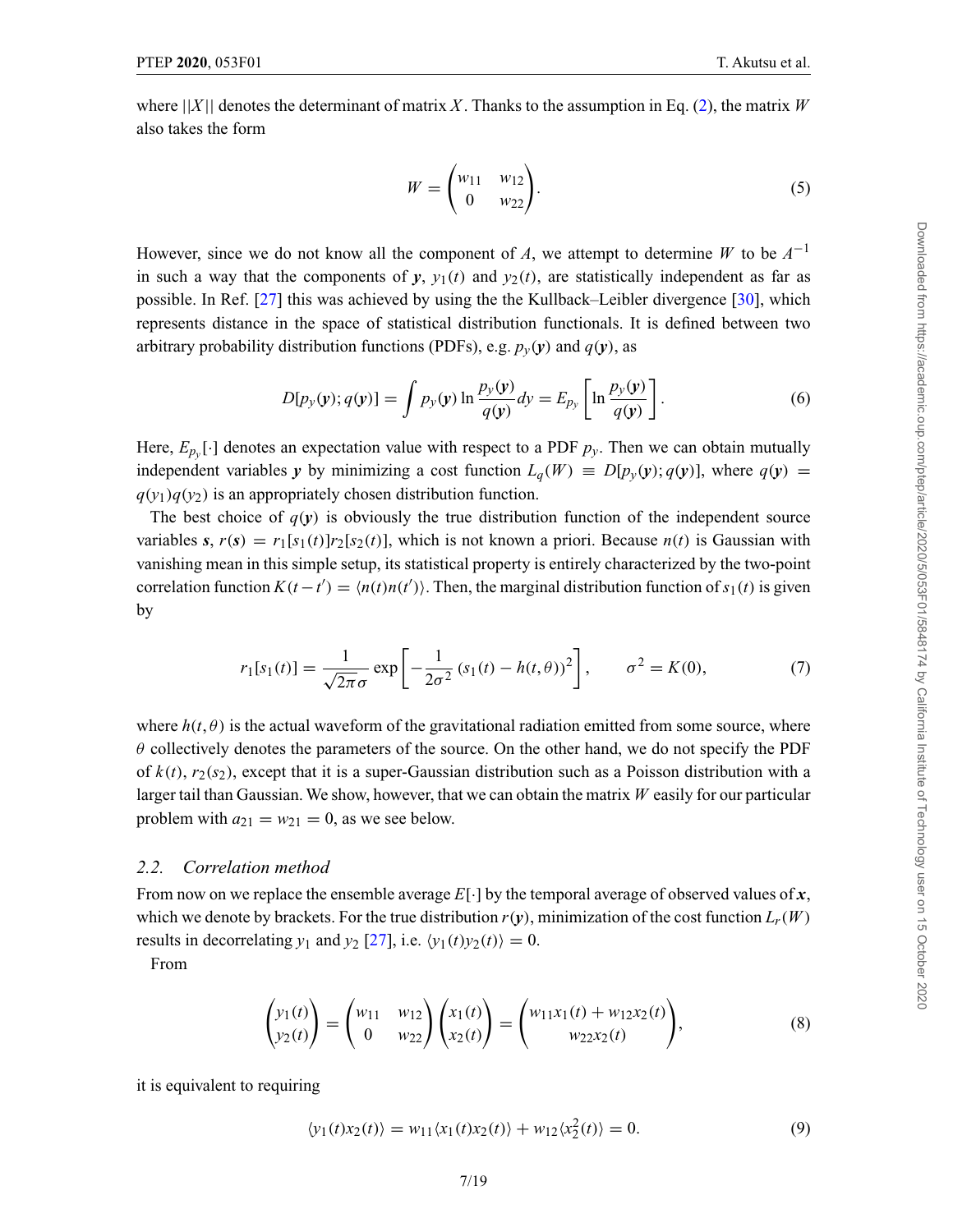<span id="page-6-0"></span>where  $||X||$  denotes the determinant of matrix X. Thanks to the assumption in Eq. [\(2\)](#page-5-0), the matrix *W* also takes the form

$$
W = \begin{pmatrix} w_{11} & w_{12} \\ 0 & w_{22} \end{pmatrix}.
$$
 (5)

However, since we do not know all the component of *A*, we attempt to determine *W* to be  $A^{-1}$ in such a way that the components of  $y$ ,  $y_1(t)$  and  $y_2(t)$ , are statistically independent as far as possible. In Ref. [\[27\]](#page-18-0) this was achieved by using the the Kullback–Leibler divergence [\[30\]](#page-18-0), which represents distance in the space of statistical distribution functionals. It is defined between two arbitrary probability distribution functions (PDFs), e.g.  $p_y(y)$  and  $q(y)$ , as

$$
D[p_y(y); q(y)] = \int p_y(y) \ln \frac{p_y(y)}{q(y)} dy = E_{p_y} \left[ \ln \frac{p_y(y)}{q(y)} \right].
$$
 (6)

Here,  $E_{p_y}[\cdot]$  denotes an expectation value with respect to a PDF  $p_y$ . Then we can obtain mutually independent variables *y* by minimizing a cost function  $L_q(W) \equiv D[p_v(y); q(y)]$ , where  $q(y)$  $q(y_1)q(y_2)$  is an appropriately chosen distribution function.

The best choice of  $q(y)$  is obviously the true distribution function of the independent source variables *s*,  $r(s) = r_1[s_1(t)]r_2[s_2(t)]$ , which is not known a priori. Because  $n(t)$  is Gaussian with vanishing mean in this simple setup, its statistical property is entirely characterized by the two-point correlation function  $K(t-t') = \langle n(t)n(t') \rangle$ . Then, the marginal distribution function of  $s_1(t)$  is given by

$$
r_1[s_1(t)] = \frac{1}{\sqrt{2\pi}\sigma} \exp\left[-\frac{1}{2\sigma^2} (s_1(t) - h(t,\theta))^2\right], \qquad \sigma^2 = K(0),
$$
 (7)

where  $h(t, \theta)$  is the actual waveform of the gravitational radiation emitted from some source, where  $\theta$  collectively denotes the parameters of the source. On the other hand, we do not specify the PDF of  $k(t)$ ,  $r_2(s_2)$ , except that it is a super-Gaussian distribution such as a Poisson distribution with a larger tail than Gaussian. We show, however, that we can obtain the matrix *W* easily for our particular problem with  $a_{21} = w_{21} = 0$ , as we see below.

# *2.2. Correlation method*

From now on we replace the ensemble average *E*[·] by the temporal average of observed values of *x*, which we denote by brackets. For the true distribution  $r(y)$ , minimization of the cost function  $L_r(W)$ results in decorrelating  $y_1$  and  $y_2$  [\[27\]](#page-18-0), i.e.  $\langle y_1(t)y_2(t) \rangle = 0$ .

From

$$
\begin{pmatrix} y_1(t) \\ y_2(t) \end{pmatrix} = \begin{pmatrix} w_{11} & w_{12} \\ 0 & w_{22} \end{pmatrix} \begin{pmatrix} x_1(t) \\ x_2(t) \end{pmatrix} = \begin{pmatrix} w_{11}x_1(t) + w_{12}x_2(t) \\ w_{22}x_2(t) \end{pmatrix},
$$
(8)

it is equivalent to requiring

$$
\langle y_1(t)x_2(t) \rangle = w_{11} \langle x_1(t)x_2(t) \rangle + w_{12} \langle x_2^2(t) \rangle = 0.
$$
 (9)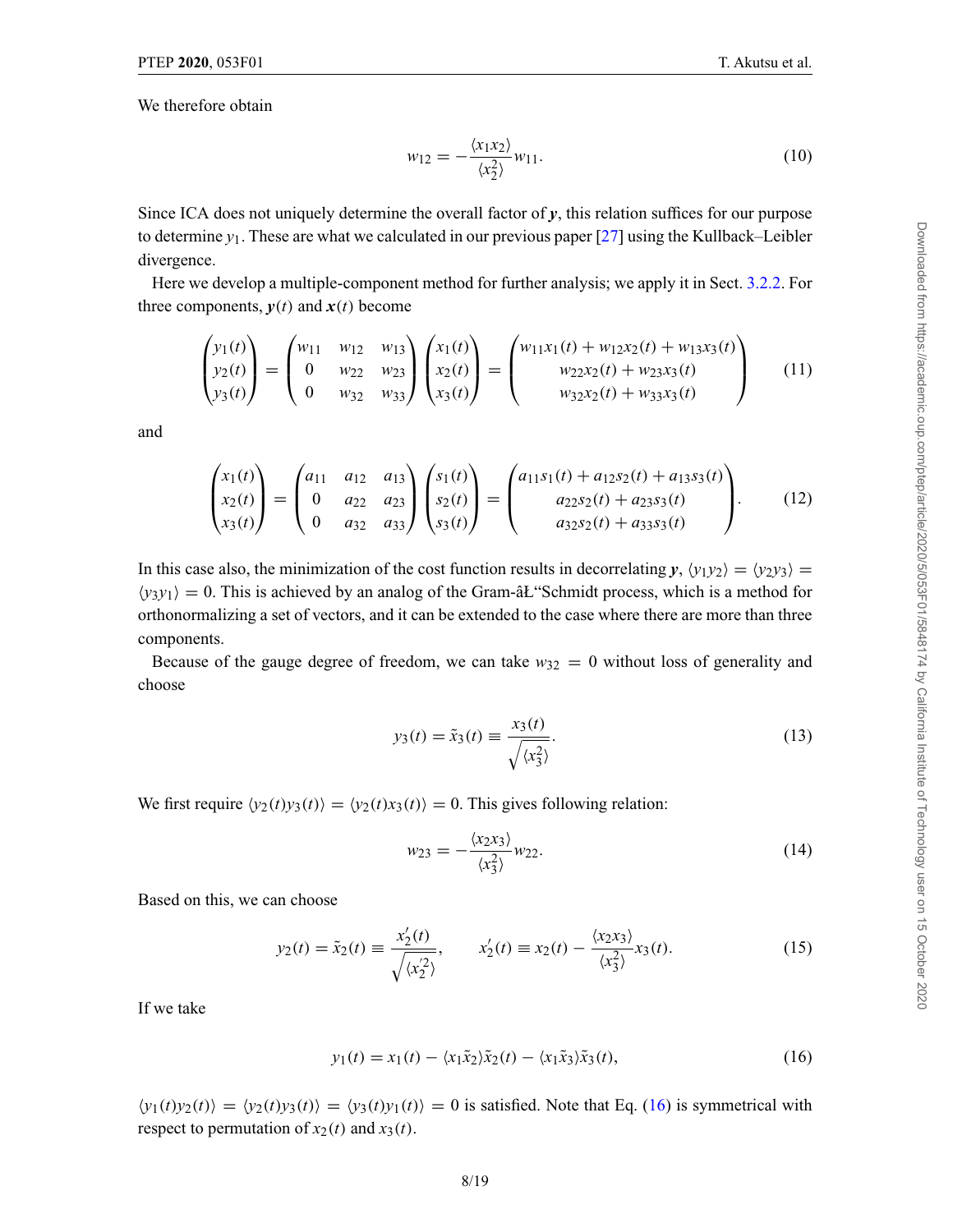We therefore obtain

$$
w_{12} = -\frac{\langle x_1 x_2 \rangle}{\langle x_2^2 \rangle} w_{11}.
$$
 (10)

Since ICA does not uniquely determine the overall factor of *y*, this relation suffices for our purpose to determine *y*1. These are what we calculated in our previous paper [\[27](#page-18-0)] using the Kullback–Leibler divergence.

Here we develop a multiple-component method for further analysis; we apply it in Sect. [3.2.2.](#page-12-0) For three components,  $y(t)$  and  $x(t)$  become

$$
\begin{pmatrix} y_1(t) \\ y_2(t) \\ y_3(t) \end{pmatrix} = \begin{pmatrix} w_{11} & w_{12} & w_{13} \\ 0 & w_{22} & w_{23} \\ 0 & w_{32} & w_{33} \end{pmatrix} \begin{pmatrix} x_1(t) \\ x_2(t) \\ x_3(t) \end{pmatrix} = \begin{pmatrix} w_{11}x_1(t) + w_{12}x_2(t) + w_{13}x_3(t) \\ w_{22}x_2(t) + w_{23}x_3(t) \\ w_{32}x_2(t) + w_{33}x_3(t) \end{pmatrix}
$$
(11)

and

$$
\begin{pmatrix} x_1(t) \\ x_2(t) \\ x_3(t) \end{pmatrix} = \begin{pmatrix} a_{11} & a_{12} & a_{13} \\ 0 & a_{22} & a_{23} \\ 0 & a_{32} & a_{33} \end{pmatrix} \begin{pmatrix} s_1(t) \\ s_2(t) \\ s_3(t) \end{pmatrix} = \begin{pmatrix} a_{11}s_1(t) + a_{12}s_2(t) + a_{13}s_3(t) \\ a_{22}s_2(t) + a_{23}s_3(t) \\ a_{32}s_2(t) + a_{33}s_3(t) \end{pmatrix}.
$$
 (12)

In this case also, the minimization of the cost function results in decorrelating  $y$ ,  $\langle y_1 y_2 \rangle = \langle y_2 y_3 \rangle =$  $\langle y_3 y_1 \rangle = 0$ . This is achieved by an analog of the Gram- $\hat{a}L$  Schmidt process, which is a method for orthonormalizing a set of vectors, and it can be extended to the case where there are more than three components.

Because of the gauge degree of freedom, we can take  $w_{32} = 0$  without loss of generality and choose

$$
y_3(t) = \tilde{x}_3(t) \equiv \frac{x_3(t)}{\sqrt{\langle x_3^2 \rangle}}.
$$
\n(13)

We first require  $\langle y_2(t)y_3(t) \rangle = \langle y_2(t)x_3(t) \rangle = 0$ . This gives following relation:

$$
w_{23} = -\frac{\langle x_2 x_3 \rangle}{\langle x_3^2 \rangle} w_{22}.
$$
\n(14)

Based on this, we can choose

$$
y_2(t) = \tilde{x}_2(t) \equiv \frac{x'_2(t)}{\sqrt{\langle x'_2 \rangle}}, \qquad x'_2(t) \equiv x_2(t) - \frac{\langle x_2 x_3 \rangle}{\langle x_3^2 \rangle} x_3(t). \tag{15}
$$

If we take

$$
y_1(t) = x_1(t) - \langle x_1 \tilde{x}_2 \rangle \tilde{x}_2(t) - \langle x_1 \tilde{x}_3 \rangle \tilde{x}_3(t), \tag{16}
$$

 $\langle y_1(t)y_2(t) \rangle = \langle y_2(t)y_3(t) \rangle = \langle y_3(t)y_1(t) \rangle = 0$  is satisfied. Note that Eq. (16) is symmetrical with respect to permutation of  $x_2(t)$  and  $x_3(t)$ .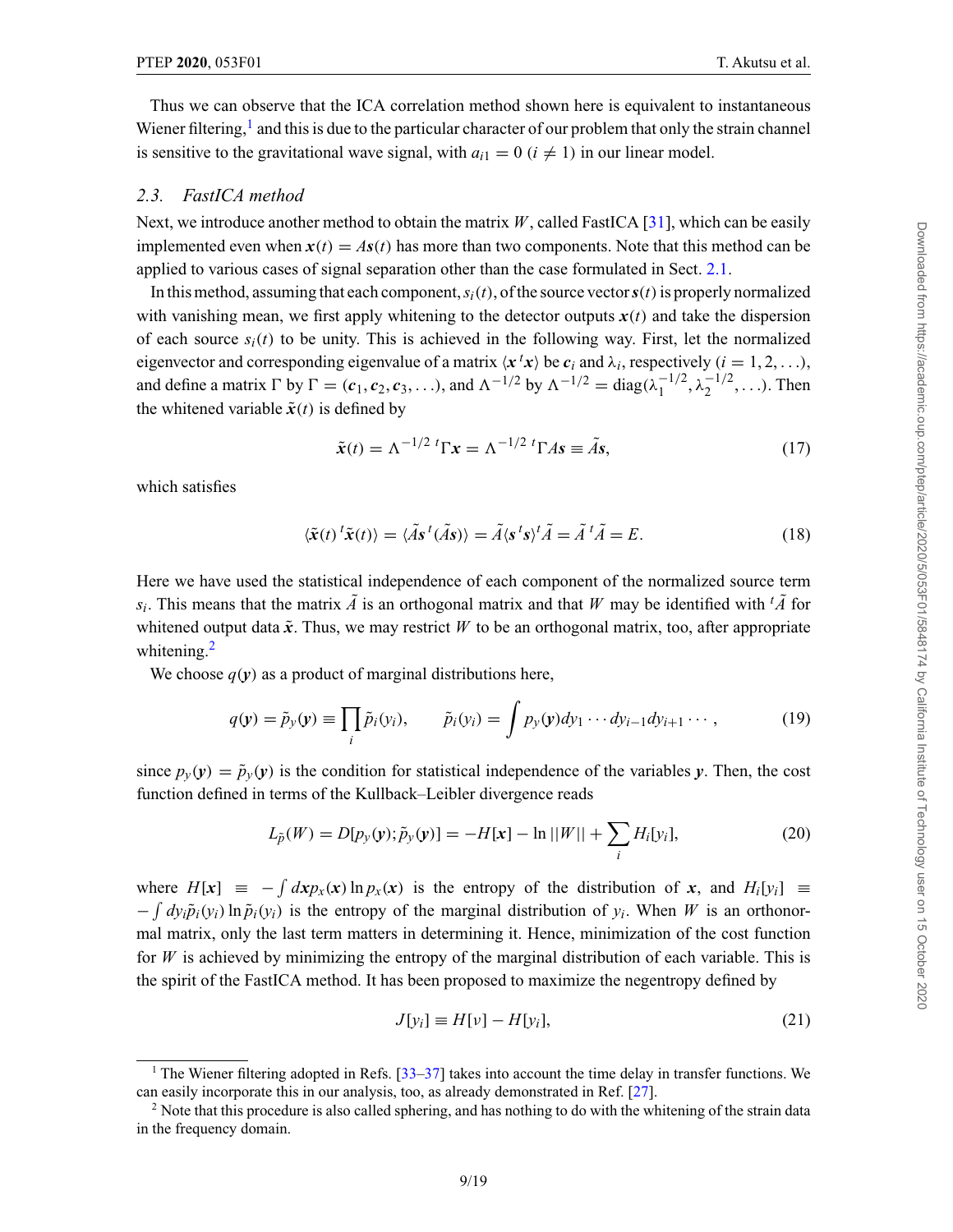<span id="page-8-0"></span>Thus we can observe that the ICA correlation method shown here is equivalent to instantaneous Wiener filtering, $<sup>1</sup>$  and this is due to the particular character of our problem that only the strain channel</sup> is sensitive to the gravitational wave signal, with  $a_{i1} = 0$  ( $i \neq 1$ ) in our linear model.

# *2.3. FastICA method*

Next, we introduce another method to obtain the matrix *W*, called FastICA [\[31\]](#page-18-0), which can be easily implemented even when  $x(t) = As(t)$  has more than two components. Note that this method can be applied to various cases of signal separation other than the case formulated in Sect. [2.1.](#page-5-0)

In this method, assuming that each component,  $s_i(t)$ , of the source vector  $s(t)$  is properly normalized with vanishing mean, we first apply whitening to the detector outputs  $x(t)$  and take the dispersion of each source  $s_i(t)$  to be unity. This is achieved in the following way. First, let the normalized eigenvector and corresponding eigenvalue of a matrix  $\langle x^t x \rangle$  be  $c_i$  and  $\lambda_i$ , respectively  $(i = 1, 2, \ldots)$ , and define a matrix  $\Gamma$  by  $\Gamma = (c_1, c_2, c_3, \ldots)$ , and  $\Lambda^{-1/2}$  by  $\Lambda^{-1/2} = \text{diag}(\lambda_1^{-1/2}, \lambda_2^{-1/2}, \ldots)$ . Then the whitened variable  $\tilde{\mathbf{x}}(t)$  is defined by

$$
\tilde{\mathbf{x}}(t) = \Lambda^{-1/2} \, {}^{t}\Gamma \mathbf{x} = \Lambda^{-1/2} \, {}^{t}\Gamma A \mathbf{s} \equiv \tilde{A} \mathbf{s},\tag{17}
$$

which satisfies

$$
\langle \tilde{\mathbf{x}}(t) \,^t \tilde{\mathbf{x}}(t) \rangle = \langle \tilde{A} \mathbf{s} \,^t (\tilde{A} \mathbf{s}) \rangle = \tilde{A} \langle \mathbf{s} \,^t \mathbf{s} \rangle^t \tilde{A} = \tilde{A} \,^t \tilde{A} = E. \tag{18}
$$

Here we have used the statistical independence of each component of the normalized source term *s<sub>i</sub>*. This means that the matrix  $\tilde{A}$  is an orthogonal matrix and that *W* may be identified with <sup>*t*</sup> $\tilde{A}$  for whitened output data  $\tilde{x}$ . Thus, we may restrict W to be an orthogonal matrix, too, after appropriate whitening. $<sup>2</sup>$ </sup>

We choose  $q(y)$  as a product of marginal distributions here,

$$
q(\mathbf{y}) = \tilde{p}_{y}(\mathbf{y}) \equiv \prod_{i} \tilde{p}_{i}(y_{i}), \qquad \tilde{p}_{i}(y_{i}) = \int p_{y}(\mathbf{y}) dy_{1} \cdots dy_{i-1} dy_{i+1} \cdots,
$$
 (19)

since  $p_y(y) = \tilde{p}_y(y)$  is the condition for statistical independence of the variables *y*. Then, the cost function defined in terms of the Kullback–Leibler divergence reads

$$
L_{\tilde{p}}(W) = D[p_{y}(y); \tilde{p}_{y}(y)] = -H[x] - \ln||W|| + \sum_{i} H_{i}[y_{i}],
$$
\n(20)

where  $H[x] \equiv - \int dx p_x(x) \ln p_x(x)$  is the entropy of the distribution of *x*, and  $H_i[y_i] \equiv$  $-\int dy_i \tilde{p}_i(y_i) \ln \tilde{p}_i(y_i)$  is the entropy of the marginal distribution of  $y_i$ . When *W* is an orthonormal matrix, only the last term matters in determining it. Hence, minimization of the cost function for  $W$  is achieved by minimizing the entropy of the marginal distribution of each variable. This is the spirit of the FastICA method. It has been proposed to maximize the negentropy defined by

$$
J[y_i] \equiv H[v] - H[y_i], \tag{21}
$$

<sup>&</sup>lt;sup>1</sup> The Wiener filtering adopted in Refs.  $\left[33-37\right]$  takes into account the time delay in transfer functions. We can easily incorporate this in our analysis, too, as already demonstrated in Ref. [\[27\]](#page-18-0).

<sup>&</sup>lt;sup>2</sup> Note that this procedure is also called sphering, and has nothing to do with the whitening of the strain data in the frequency domain.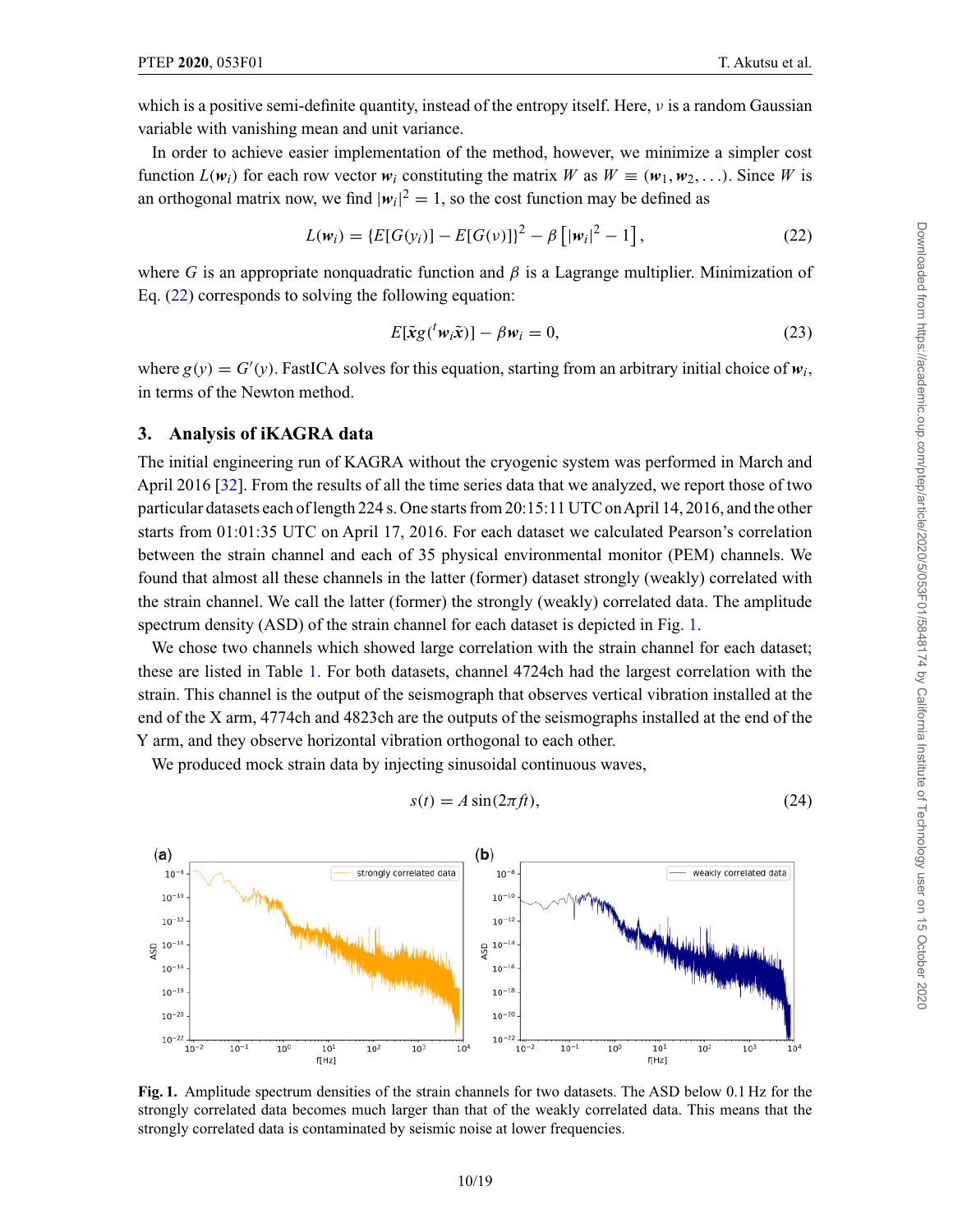<span id="page-9-0"></span>which is a positive semi-definite quantity, instead of the entropy itself. Here,  $\nu$  is a random Gaussian variable with vanishing mean and unit variance.

In order to achieve easier implementation of the method, however, we minimize a simpler cost function  $L(w_i)$  for each row vector  $w_i$  constituting the matrix W as  $W \equiv (w_1, w_2, \ldots)$ . Since W is an orthogonal matrix now, we find  $|w_i|^2 = 1$ , so the cost function may be defined as

$$
L(w_i) = \{ E[G(y_i)] - E[G(v)] \}^2 - \beta \left[ |w_i|^2 - 1 \right],
$$
\n(22)

where *G* is an appropriate nonquadratic function and  $\beta$  is a Lagrange multiplier. Minimization of Eq. (22) corresponds to solving the following equation:

$$
E[\tilde{\mathbf{x}}g({}^{t}\mathbf{w}_{i}\tilde{\mathbf{x}})] - \beta \mathbf{w}_{i} = 0, \qquad (23)
$$

where  $g(y) = G'(y)$ . FastICA solves for this equation, starting from an arbitrary initial choice of  $w_i$ , in terms of the Newton method.

#### **3. Analysis of iKAGRA data**

The initial engineering run of KAGRA without the cryogenic system was performed in March and April 2016 [\[32\]](#page-18-0). From the results of all the time series data that we analyzed, we report those of two particular datasets each of length 224 s. One starts from 20:15:11 UTC onApril 14, 2016, and the other starts from 01:01:35 UTC on April 17, 2016. For each dataset we calculated Pearson's correlation between the strain channel and each of 35 physical environmental monitor (PEM) channels. We found that almost all these channels in the latter (former) dataset strongly (weakly) correlated with the strain channel. We call the latter (former) the strongly (weakly) correlated data. The amplitude spectrum density (ASD) of the strain channel for each dataset is depicted in Fig. 1.

We chose two channels which showed large correlation with the strain channel for each dataset; these are listed in Table [1.](#page-10-0) For both datasets, channel 4724ch had the largest correlation with the strain. This channel is the output of the seismograph that observes vertical vibration installed at the end of the X arm, 4774ch and 4823ch are the outputs of the seismographs installed at the end of the Y arm, and they observe horizontal vibration orthogonal to each other.

We produced mock strain data by injecting sinusoidal continuous waves,

$$
s(t) = A\sin(2\pi ft),\tag{24}
$$



**Fig. 1.** Amplitude spectrum densities of the strain channels for two datasets. The ASD below 0.1 Hz for the strongly correlated data becomes much larger than that of the weakly correlated data. This means that the strongly correlated data is contaminated by seismic noise at lower frequencies.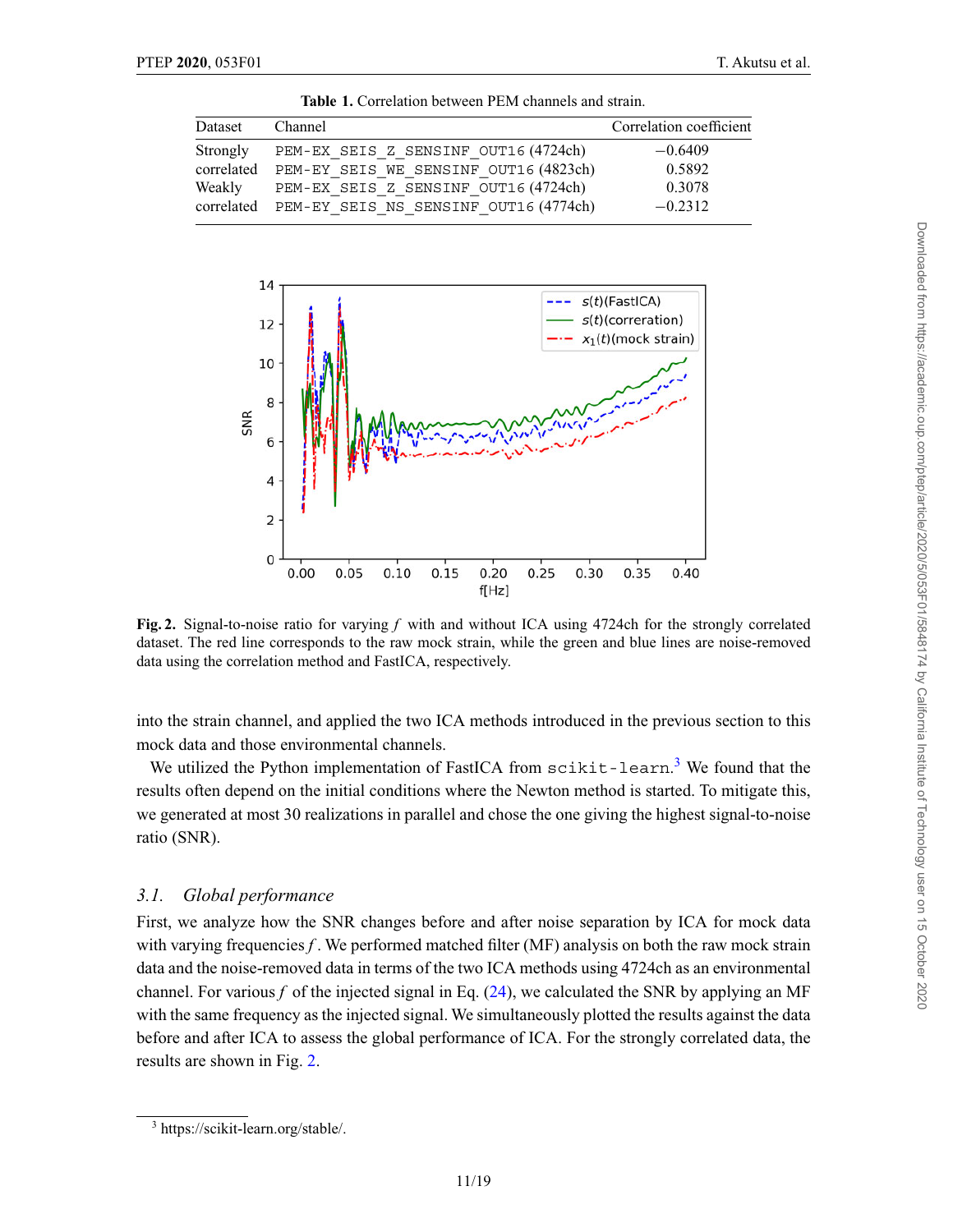<span id="page-10-0"></span>

| Dataset  | Channel                                          | Correlation coefficient |
|----------|--------------------------------------------------|-------------------------|
| Strongly | PEM-EX SEIS Z SENSINF OUT16 (4724ch)             | $-0.6409$               |
|          | correlated PEM-EY SEIS WE SENSINF OUT16 (4823ch) | 0.5892                  |
| Weakly   | PEM-EX SEIS Z SENSINF OUT16 (4724ch)             | 0.3078                  |
|          | correlated PEM-EY SEIS NS SENSINF OUT16 (4774ch) | $-0.2312$               |

**Table 1.** Correlation between PEM channels and strain.



**Fig. 2.** Signal-to-noise ratio for varying *f* with and without ICA using 4724ch for the strongly correlated dataset. The red line corresponds to the raw mock strain, while the green and blue lines are noise-removed data using the correlation method and FastICA, respectively.

into the strain channel, and applied the two ICA methods introduced in the previous section to this mock data and those environmental channels.

We utilized the Python implementation of FastICA from scikit-learn.<sup>3</sup> We found that the results often depend on the initial conditions where the Newton method is started. To mitigate this, we generated at most 30 realizations in parallel and chose the one giving the highest signal-to-noise ratio (SNR).

### *3.1. Global performance*

First, we analyze how the SNR changes before and after noise separation by ICA for mock data with varying frequencies *f*. We performed matched filter (MF) analysis on both the raw mock strain data and the noise-removed data in terms of the two ICA methods using 4724ch as an environmental channel. For various  $f$  of the injected signal in Eq.  $(24)$ , we calculated the SNR by applying an MF with the same frequency as the injected signal. We simultaneously plotted the results against the data before and after ICA to assess the global performance of ICA. For the strongly correlated data, the results are shown in Fig. 2.

<sup>3</sup> https://scikit-learn.org/stable/.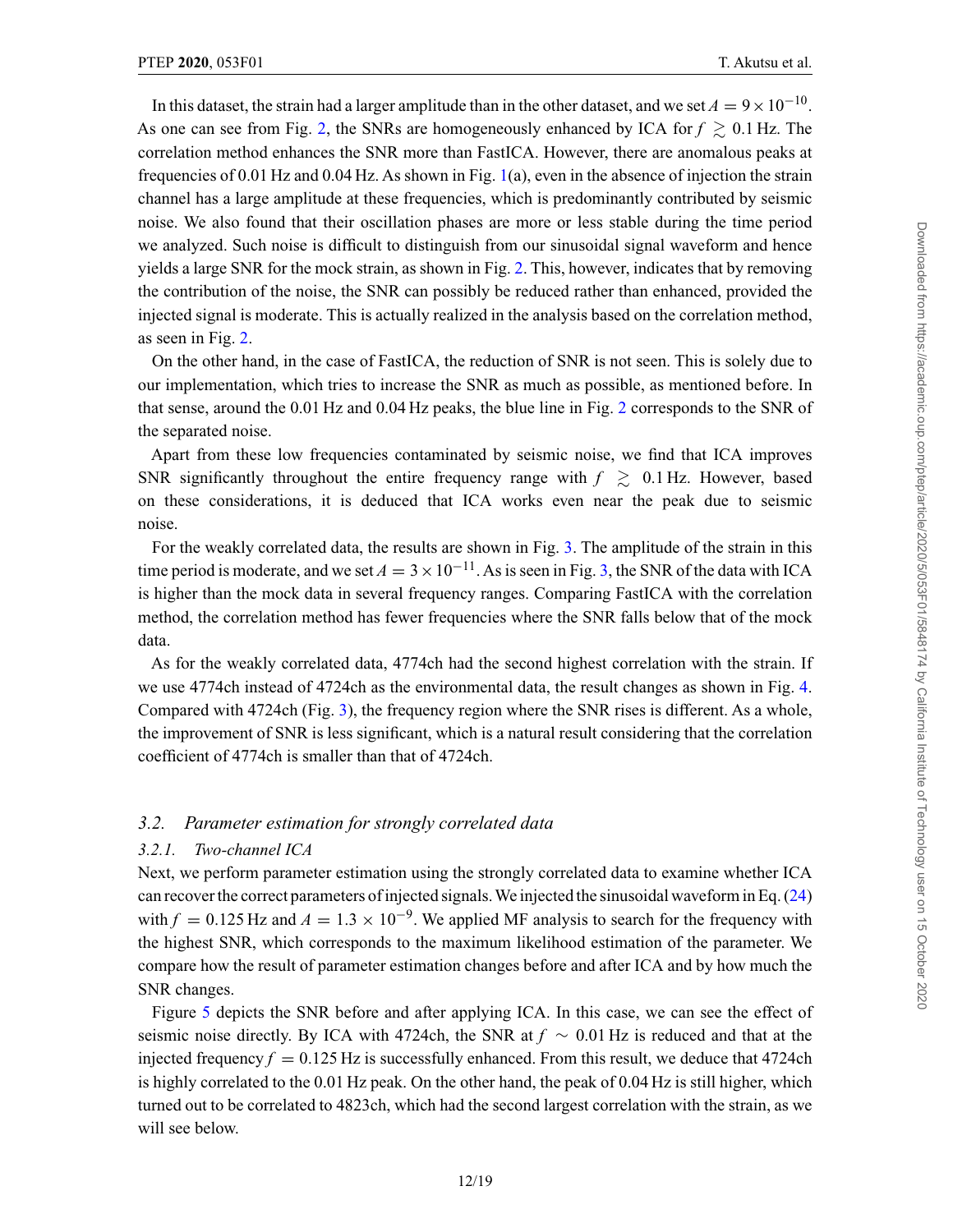In this dataset, the strain had a larger amplitude than in the other dataset, and we set  $A = 9 \times 10^{-10}$ . As one can see from Fig. [2,](#page-10-0) the SNRs are homogeneously enhanced by ICA for  $f \gtrsim 0.1$  Hz. The correlation method enhances the SNR more than FastICA. However, there are anomalous peaks at frequencies of 0.01 Hz and 0.04 Hz. As shown in Fig. [1\(](#page-9-0)a), even in the absence of injection the strain channel has a large amplitude at these frequencies, which is predominantly contributed by seismic noise. We also found that their oscillation phases are more or less stable during the time period we analyzed. Such noise is difficult to distinguish from our sinusoidal signal waveform and hence yields a large SNR for the mock strain, as shown in Fig. [2.](#page-10-0) This, however, indicates that by removing the contribution of the noise, the SNR can possibly be reduced rather than enhanced, provided the injected signal is moderate. This is actually realized in the analysis based on the correlation method, as seen in Fig. [2.](#page-10-0)

On the other hand, in the case of FastICA, the reduction of SNR is not seen. This is solely due to our implementation, which tries to increase the SNR as much as possible, as mentioned before. In that sense, around the 0.01 Hz and 0.04 Hz peaks, the blue line in Fig. [2](#page-10-0) corresponds to the SNR of the separated noise.

Apart from these low frequencies contaminated by seismic noise, we find that ICA improves SNR significantly throughout the entire frequency range with  $f \geq 0.1$  Hz. However, based on these considerations, it is deduced that ICA works even near the peak due to seismic noise.

For the weakly correlated data, the results are shown in Fig. [3.](#page-12-0) The amplitude of the strain in this time period is moderate, and we set  $A = 3 \times 10^{-11}$ . As is seen in Fig. [3,](#page-12-0) the SNR of the data with ICA is higher than the mock data in several frequency ranges. Comparing FastICA with the correlation method, the correlation method has fewer frequencies where the SNR falls below that of the mock data.

As for the weakly correlated data, 4774ch had the second highest correlation with the strain. If we use 4774ch instead of 4724ch as the environmental data, the result changes as shown in Fig. [4.](#page-12-0) Compared with 4724ch (Fig. [3\)](#page-12-0), the frequency region where the SNR rises is different. As a whole, the improvement of SNR is less significant, which is a natural result considering that the correlation coefficient of 4774ch is smaller than that of 4724ch.

# *3.2. Parameter estimation for strongly correlated data*

#### *3.2.1. Two-channel ICA*

Next, we perform parameter estimation using the strongly correlated data to examine whether ICA can recover the correct parameters of injected signals.We injected the sinusoidal waveform in Eq. [\(24\)](#page-9-0) with  $f = 0.125$  Hz and  $A = 1.3 \times 10^{-9}$ . We applied MF analysis to search for the frequency with the highest SNR, which corresponds to the maximum likelihood estimation of the parameter. We compare how the result of parameter estimation changes before and after ICA and by how much the SNR changes.

Figure [5](#page-13-0) depicts the SNR before and after applying ICA. In this case, we can see the effect of seismic noise directly. By ICA with 4724ch, the SNR at *f* ∼ 0.01 Hz is reduced and that at the injected frequency  $f = 0.125$  Hz is successfully enhanced. From this result, we deduce that 4724ch is highly correlated to the 0.01 Hz peak. On the other hand, the peak of 0.04 Hz is still higher, which turned out to be correlated to 4823ch, which had the second largest correlation with the strain, as we will see below.

Downloaded from https://academic.oup.com/ptep/article/2020/5/053F01/5848174 by California Institute of Technology user on 15 October 2020 Downloaded from https://academic.oup.com/ptep/article/2020/5/053F01/5848174 by California Institute of Technology user on 15 October 2020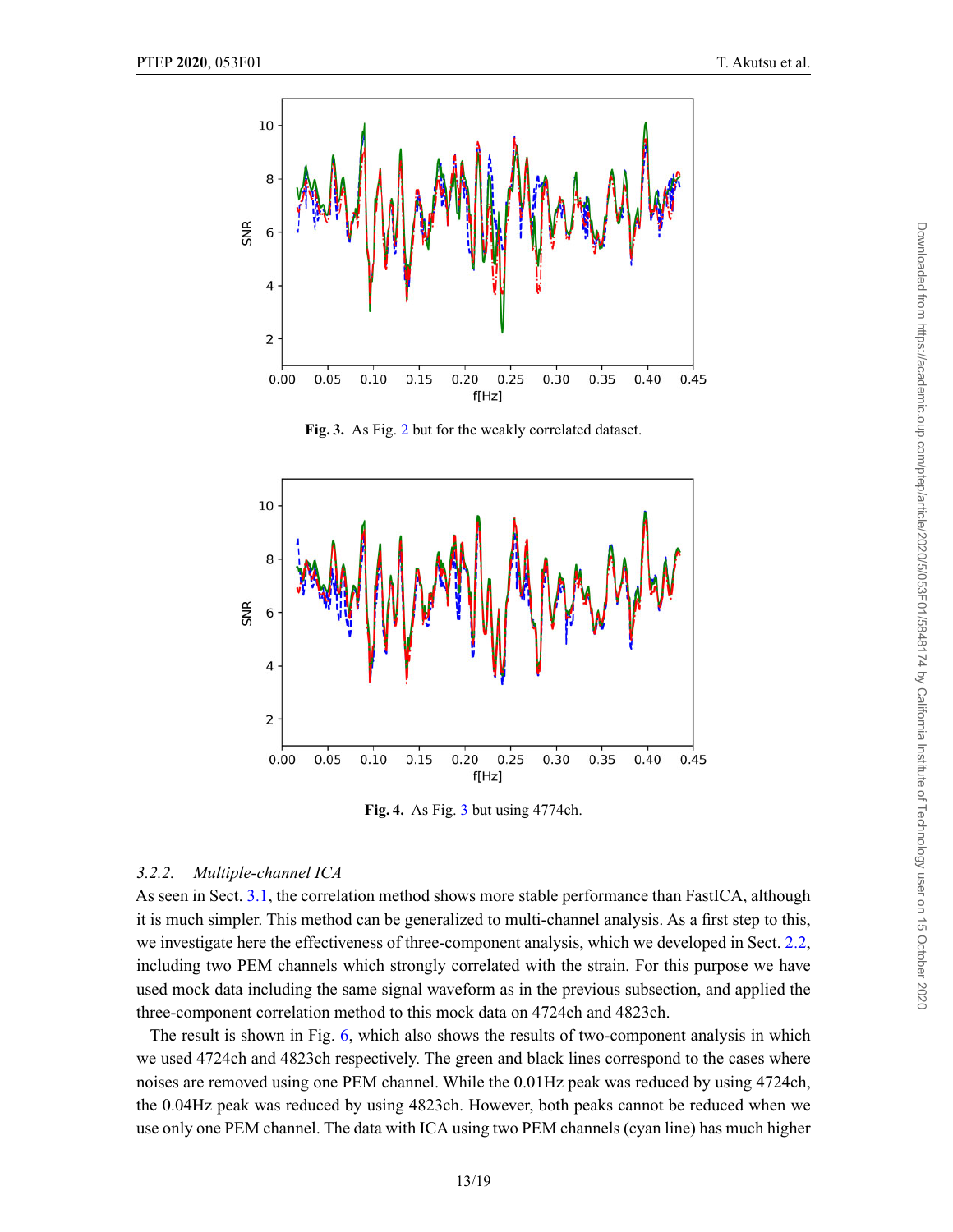<span id="page-12-0"></span>

**Fig. 3.** As Fig. [2](#page-10-0) but for the weakly correlated dataset.



**Fig. 4.** As Fig. 3 but using 4774ch.

### *3.2.2. Multiple-channel ICA*

As seen in Sect. [3.1,](#page-10-0) the correlation method shows more stable performance than FastICA, although it is much simpler. This method can be generalized to multi-channel analysis. As a first step to this, we investigate here the effectiveness of three-component analysis, which we developed in Sect. [2.2,](#page-6-0) including two PEM channels which strongly correlated with the strain. For this purpose we have used mock data including the same signal waveform as in the previous subsection, and applied the three-component correlation method to this mock data on 4724ch and 4823ch.

The result is shown in Fig. [6,](#page-13-0) which also shows the results of two-component analysis in which we used 4724ch and 4823ch respectively. The green and black lines correspond to the cases where noises are removed using one PEM channel. While the 0.01Hz peak was reduced by using 4724ch, the 0.04Hz peak was reduced by using 4823ch. However, both peaks cannot be reduced when we use only one PEM channel. The data with ICA using two PEM channels (cyan line) has much higher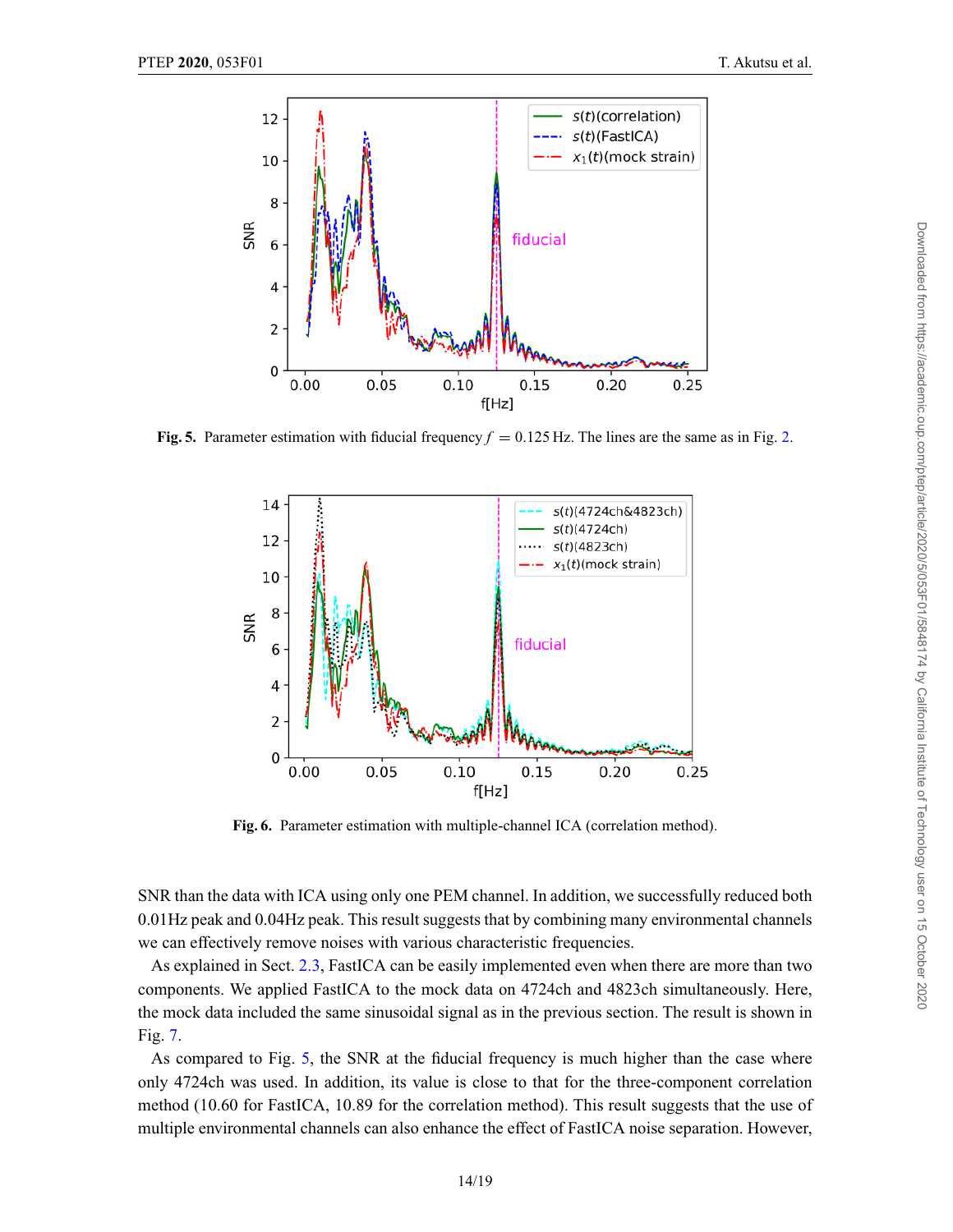<span id="page-13-0"></span>

**Fig. 5.** Parameter estimation with fiducial frequency  $f = 0.125$  Hz. The lines are the same as in Fig. [2.](#page-10-0)



**Fig. 6.** Parameter estimation with multiple-channel ICA (correlation method).

SNR than the data with ICA using only one PEM channel. In addition, we successfully reduced both 0.01Hz peak and 0.04Hz peak. This result suggests that by combining many environmental channels we can effectively remove noises with various characteristic frequencies.

As explained in Sect. [2.3,](#page-8-0) FastICA can be easily implemented even when there are more than two components. We applied FastICA to the mock data on 4724ch and 4823ch simultaneously. Here, the mock data included the same sinusoidal signal as in the previous section. The result is shown in Fig. [7.](#page-14-0)

As compared to Fig. 5, the SNR at the fiducial frequency is much higher than the case where only 4724ch was used. In addition, its value is close to that for the three-component correlation method (10.60 for FastICA, 10.89 for the correlation method). This result suggests that the use of multiple environmental channels can also enhance the effect of FastICA noise separation. However,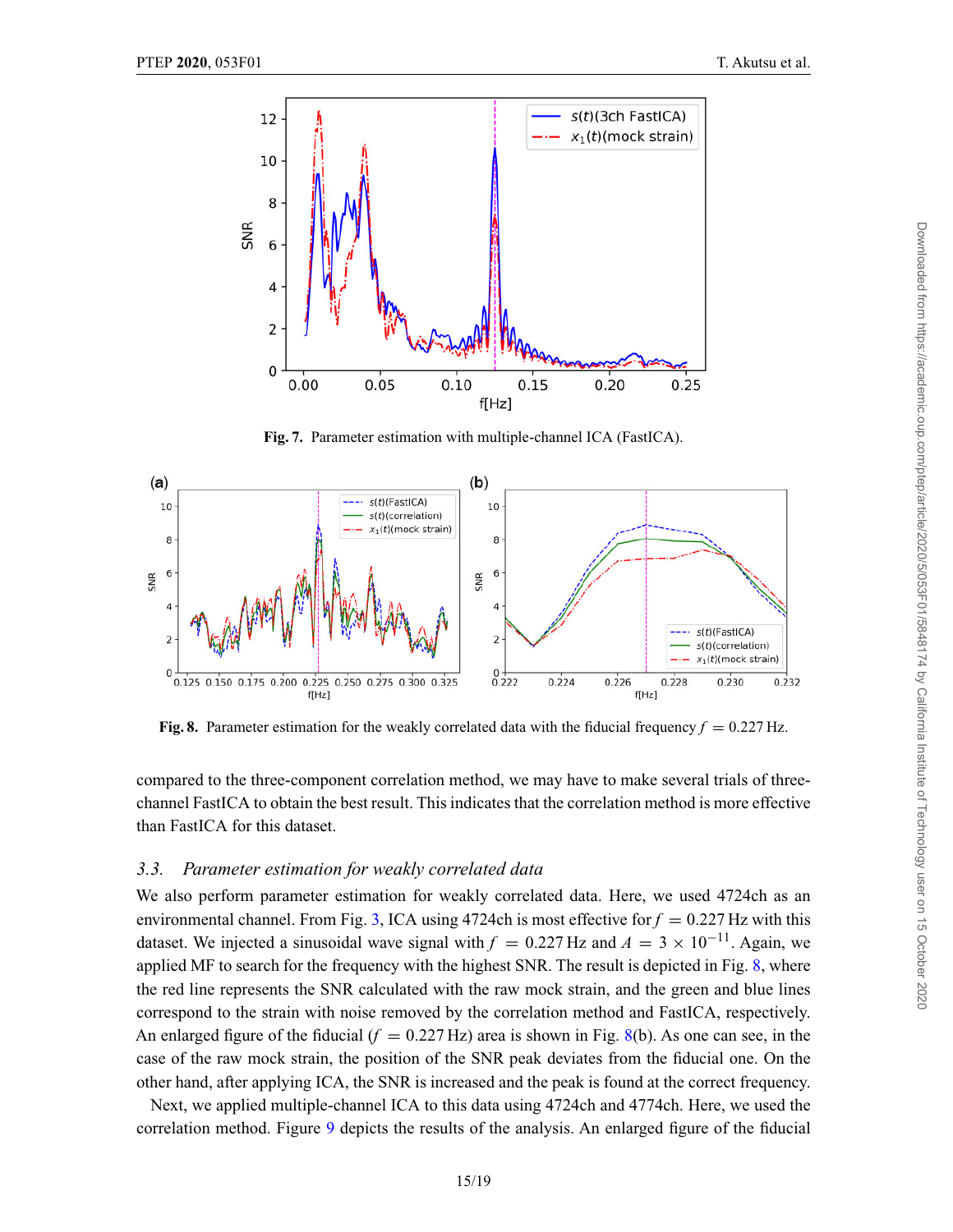<span id="page-14-0"></span>

**Fig. 7.** Parameter estimation with multiple-channel ICA (FastICA).



**Fig. 8.** Parameter estimation for the weakly correlated data with the fiducial frequency  $f = 0.227$  Hz.

compared to the three-component correlation method, we may have to make several trials of threechannel FastICA to obtain the best result. This indicates that the correlation method is more effective than FastICA for this dataset.

# *3.3. Parameter estimation for weakly correlated data*

We also perform parameter estimation for weakly correlated data. Here, we used 4724ch as an environmental channel. From Fig. [3,](#page-12-0) ICA using 4724ch is most effective for  $f = 0.227$  Hz with this dataset. We injected a sinusoidal wave signal with  $f = 0.227$  Hz and  $A = 3 \times 10^{-11}$ . Again, we applied MF to search for the frequency with the highest SNR. The result is depicted in Fig. 8, where the red line represents the SNR calculated with the raw mock strain, and the green and blue lines correspond to the strain with noise removed by the correlation method and FastICA, respectively. An enlarged figure of the fiducial  $(f = 0.227 \text{ Hz})$  area is shown in Fig. 8(b). As one can see, in the case of the raw mock strain, the position of the SNR peak deviates from the fiducial one. On the other hand, after applying ICA, the SNR is increased and the peak is found at the correct frequency.

Next, we applied multiple-channel ICA to this data using 4724ch and 4774ch. Here, we used the correlation method. Figure [9](#page-15-0) depicts the results of the analysis. An enlarged figure of the fiducial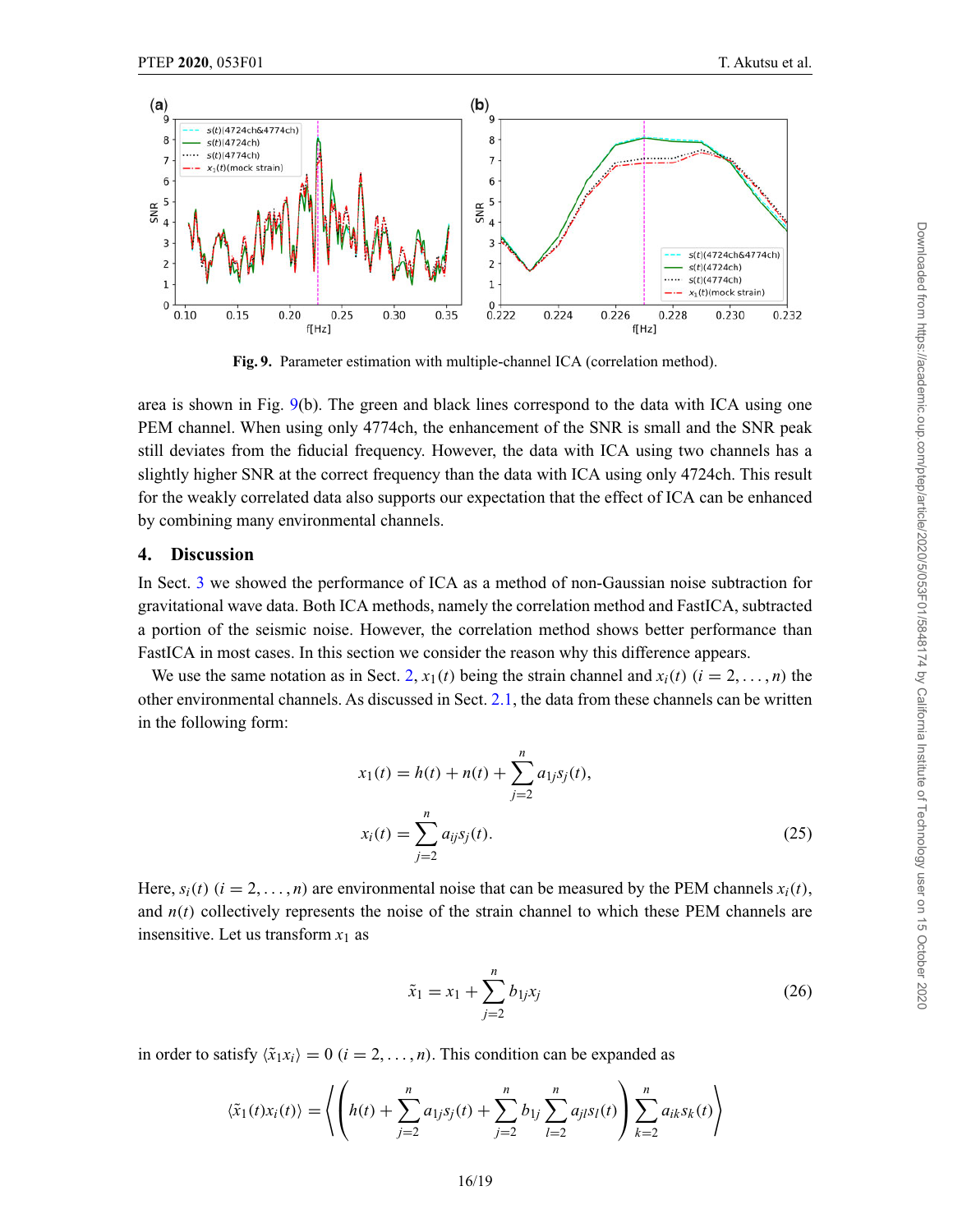<span id="page-15-0"></span>

**Fig. 9.** Parameter estimation with multiple-channel ICA (correlation method).

area is shown in Fig. 9(b). The green and black lines correspond to the data with ICA using one PEM channel. When using only 4774ch, the enhancement of the SNR is small and the SNR peak still deviates from the fiducial frequency. However, the data with ICA using two channels has a slightly higher SNR at the correct frequency than the data with ICA using only 4724ch. This result for the weakly correlated data also supports our expectation that the effect of ICA can be enhanced by combining many environmental channels.

# **4. Discussion**

In Sect. [3](#page-9-0) we showed the performance of ICA as a method of non-Gaussian noise subtraction for gravitational wave data. Both ICA methods, namely the correlation method and FastICA, subtracted a portion of the seismic noise. However, the correlation method shows better performance than FastICA in most cases. In this section we consider the reason why this difference appears.

We use the same notation as in Sect. [2,](#page-4-0)  $x_1(t)$  being the strain channel and  $x_i(t)$  ( $i = 2, \ldots, n$ ) the other environmental channels. As discussed in Sect. [2.1,](#page-5-0) the data from these channels can be written in the following form:

$$
x_1(t) = h(t) + n(t) + \sum_{j=2}^{n} a_{1j} s_j(t),
$$
  

$$
x_i(t) = \sum_{j=2}^{n} a_{ij} s_j(t).
$$
 (25)

Here,  $s_i(t)$  ( $i = 2, \ldots, n$ ) are environmental noise that can be measured by the PEM channels  $x_i(t)$ , and  $n(t)$  collectively represents the noise of the strain channel to which these PEM channels are insensitive. Let us transform  $x_1$  as

$$
\tilde{x}_1 = x_1 + \sum_{j=2}^{n} b_{1j} x_j \tag{26}
$$

in order to satisfy  $\langle \tilde{x}_1 x_i \rangle = 0$  ( $i = 2, ..., n$ ). This condition can be expanded as

$$
\langle \tilde{x}_1(t)x_i(t) \rangle = \left\langle \left( h(t) + \sum_{j=2}^n a_{1j} s_j(t) + \sum_{j=2}^n b_{1j} \sum_{l=2}^n a_{jl} s_l(t) \right) \sum_{k=2}^n a_{ik} s_k(t) \right\rangle
$$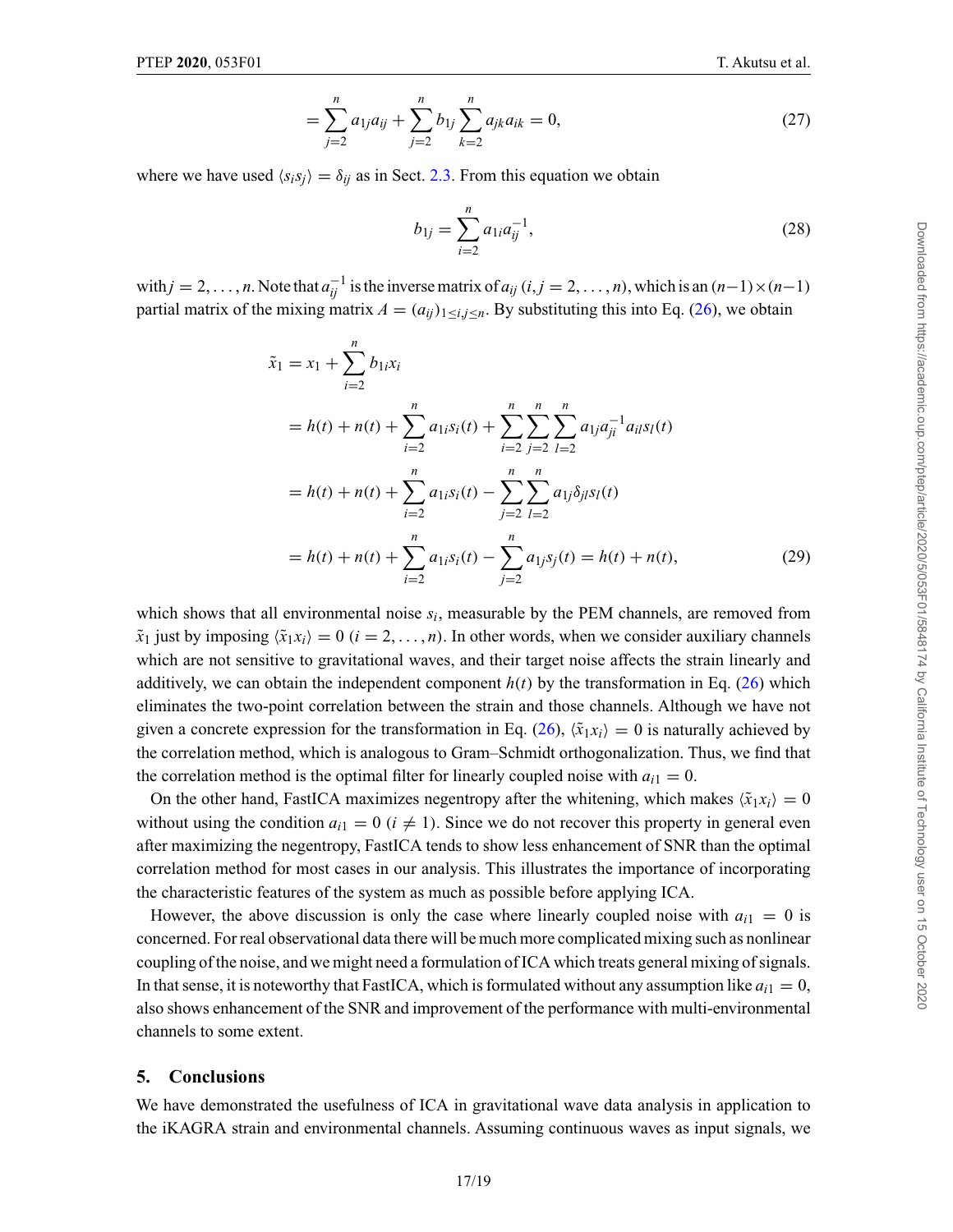$$
= \sum_{j=2}^{n} a_{1j} a_{ij} + \sum_{j=2}^{n} b_{1j} \sum_{k=2}^{n} a_{jk} a_{ik} = 0, \qquad (27)
$$

<span id="page-16-0"></span>where we have used  $\langle s_i s_j \rangle = \delta_{ij}$  as in Sect. [2.3.](#page-8-0) From this equation we obtain

$$
b_{1j} = \sum_{i=2}^{n} a_{1i} a_{ij}^{-1},
$$
\n(28)

with  $j = 2, \ldots, n$ . Note that  $a_{ij}^{-1}$  is the inverse matrix of  $a_{ij}$  ( $i, j = 2, \ldots, n$ ), which is an  $(n-1) \times (n-1)$ partial matrix of the mixing matrix  $A = (a_{ij})_{1 \le i,j \le n}$ . By substituting this into Eq. [\(26\)](#page-15-0), we obtain

$$
\tilde{x}_1 = x_1 + \sum_{i=2}^n b_{1i}x_i
$$
  
=  $h(t) + n(t) + \sum_{i=2}^n a_{1i}s_i(t) + \sum_{i=2}^n \sum_{j=2}^n \sum_{l=2}^n a_{1j}a_{jl}^{-1}a_{il}s_l(t)$   
=  $h(t) + n(t) + \sum_{i=2}^n a_{1i}s_i(t) - \sum_{j=2}^n \sum_{l=2}^n a_{1j}\delta_{jl}s_l(t)$   
=  $h(t) + n(t) + \sum_{i=2}^n a_{1i}s_i(t) - \sum_{j=2}^n a_{1j}s_j(t) = h(t) + n(t),$  (29)

which shows that all environmental noise  $s_i$ , measurable by the PEM channels, are removed from  $\tilde{x}_1$  just by imposing  $\langle \tilde{x}_1 x_i \rangle = 0$  (*i* = 2, ..., *n*). In other words, when we consider auxiliary channels which are not sensitive to gravitational waves, and their target noise affects the strain linearly and additively, we can obtain the independent component  $h(t)$  by the transformation in Eq. [\(26\)](#page-15-0) which eliminates the two-point correlation between the strain and those channels. Although we have not given a concrete expression for the transformation in Eq. [\(26\)](#page-15-0),  $\langle \tilde{x}_1 x_i \rangle = 0$  is naturally achieved by the correlation method, which is analogous to Gram–Schmidt orthogonalization. Thus, we find that the correlation method is the optimal filter for linearly coupled noise with  $a_{i1} = 0$ .

On the other hand, FastICA maximizes negentropy after the whitening, which makes  $\langle \tilde{x}_1 x_i \rangle = 0$ without using the condition  $a_{i1} = 0$  ( $i \neq 1$ ). Since we do not recover this property in general even after maximizing the negentropy, FastICA tends to show less enhancement of SNR than the optimal correlation method for most cases in our analysis. This illustrates the importance of incorporating the characteristic features of the system as much as possible before applying ICA.

However, the above discussion is only the case where linearly coupled noise with  $a_{i1} = 0$  is concerned. For real observational data there will be much more complicated mixing such as nonlinear coupling of the noise, and we might need a formulation of ICA which treats general mixing of signals. In that sense, it is noteworthy that FastICA, which is formulated without any assumption like  $a_{i1} = 0$ , also shows enhancement of the SNR and improvement of the performance with multi-environmental channels to some extent.

# **5. Conclusions**

We have demonstrated the usefulness of ICA in gravitational wave data analysis in application to the iKAGRA strain and environmental channels. Assuming continuous waves as input signals, we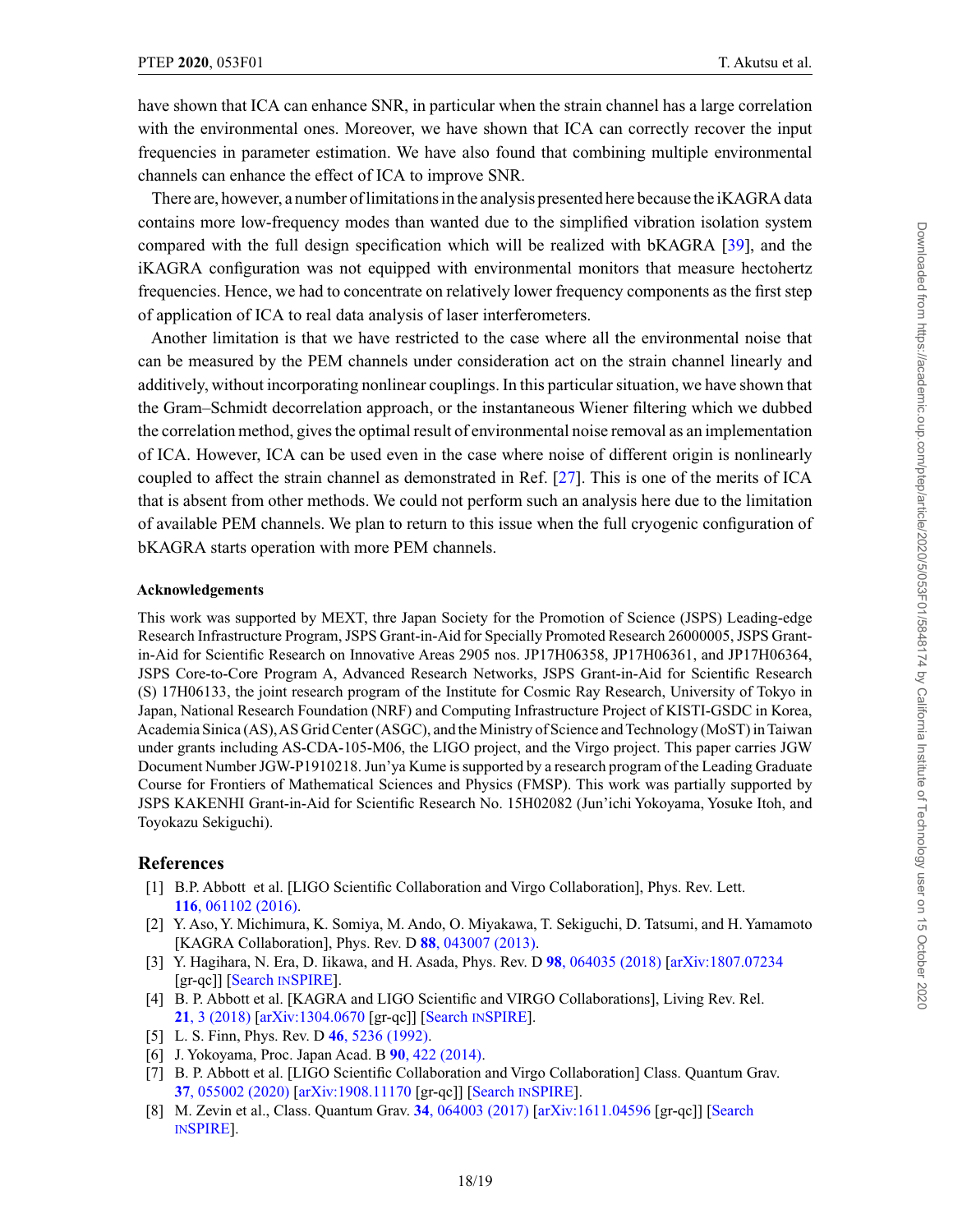<span id="page-17-0"></span>have shown that ICA can enhance SNR, in particular when the strain channel has a large correlation with the environmental ones. Moreover, we have shown that ICA can correctly recover the input frequencies in parameter estimation. We have also found that combining multiple environmental channels can enhance the effect of ICA to improve SNR.

There are, however, a number of limitations in the analysis presented here because the iKAGRA data contains more low-frequency modes than wanted due to the simplified vibration isolation system compared with the full design specification which will be realized with bKAGRA [\[39\]](#page-18-0), and the iKAGRA configuration was not equipped with environmental monitors that measure hectohertz frequencies. Hence, we had to concentrate on relatively lower frequency components as the first step of application of ICA to real data analysis of laser interferometers.

Another limitation is that we have restricted to the case where all the environmental noise that can be measured by the PEM channels under consideration act on the strain channel linearly and additively, without incorporating nonlinear couplings. In this particular situation, we have shown that the Gram–Schmidt decorrelation approach, or the instantaneous Wiener filtering which we dubbed the correlation method, gives the optimal result of environmental noise removal as an implementation of ICA. However, ICA can be used even in the case where noise of different origin is nonlinearly coupled to affect the strain channel as demonstrated in Ref. [\[27\]](#page-18-0). This is one of the merits of ICA that is absent from other methods. We could not perform such an analysis here due to the limitation of available PEM channels. We plan to return to this issue when the full cryogenic configuration of bKAGRA starts operation with more PEM channels.

#### **Acknowledgements**

This work was supported by MEXT, thre Japan Society for the Promotion of Science (JSPS) Leading-edge Research Infrastructure Program, JSPS Grant-in-Aid for Specially Promoted Research 26000005, JSPS Grantin-Aid for Scientific Research on Innovative Areas 2905 nos. JP17H06358, JP17H06361, and JP17H06364, JSPS Core-to-Core Program A, Advanced Research Networks, JSPS Grant-in-Aid for Scientific Research (S) 17H06133, the joint research program of the Institute for Cosmic Ray Research, University of Tokyo in Japan, National Research Foundation (NRF) and Computing Infrastructure Project of KISTI-GSDC in Korea, Academia Sinica (AS),AS Grid Center (ASGC), and the Ministry of Science and Technology (MoST) in Taiwan under grants including AS-CDA-105-M06, the LIGO project, and the Virgo project. This paper carries JGW Document Number JGW-P1910218. Jun'ya Kume is supported by a research program of the Leading Graduate Course for Frontiers of Mathematical Sciences and Physics (FMSP). This work was partially supported by JSPS KAKENHI Grant-in-Aid for Scientific Research No. 15H02082 (Jun'ichi Yokoyama, Yosuke Itoh, and Toyokazu Sekiguchi).

# **References**

- [1] B.P. Abbott et al. [LIGO Scientific Collaboration and Virgo Collaboration], Phys. Rev. Lett. **116**[, 061102 \(2016\).](https://doi.org/10.1103/PhysRevLett.116.061102)
- [2] Y. Aso, Y. Michimura, K. Somiya, M. Ando, O. Miyakawa, T. Sekiguchi, D. Tatsumi, and H. Yamamoto [KAGRA Collaboration], Phys. Rev. D **88**[, 043007 \(2013\).](http://dx.doi.org/10.1103/PhysRevD.88.043007)
- [3] Y. Hagihara, N. Era, D. Iikawa, and H. Asada, Phys. Rev. D **98**[, 064035 \(2018\)](http://dx.doi.org/10.1103/PhysRevD.98.064035) [\[arXiv:1807.07234](http://www.arxiv.org/abs/1807.07234) [gr-qc]] [\[Search](http://www.inspirehep.net/search?p=find+EPRINT+1807.07234) [INSPIRE\]](http://www.inspirehep.net/search?p=find+EPRINT+1807.07234).
- [4] B. P. Abbott et al. [KAGRA and LIGO Scientific and VIRGO Collaborations], Living Rev. Rel. **21**[, 3 \(2018\)](https://doi.org/10.1007/s41114-018-0012-9) [\[arXiv:1304.0670](http://www.arxiv.org/abs/1304.0670) [gr-qc]] [\[Search](http://www.inspirehep.net/search?p=find+EPRINT+1304.0670) [INSPIRE\]](http://www.inspirehep.net/search?p=find+EPRINT+1304.0670).
- [5] L. S. Finn, Phys. Rev. D **46**[, 5236 \(1992\).](http://dx.doi.org/10.1103/PhysRevD.46.5236)
- [6] J. Yokoyama, Proc. Japan Acad. B **90**[, 422 \(2014\).](http://dx.doi.org/10.2183/pjab.90.422)
- [7] B. P. Abbott et al. [LIGO Scientific Collaboration and Virgo Collaboration] Class. Quantum Grav. **37**[, 055002 \(2020\)](https://doi.org/10.1088/1361-6382/ab685e) [\[arXiv:1908.11170](http://www.arxiv.org/abs/1908.11170) [gr-qc]] [\[Search](http://www.inspirehep.net/search?p=find+EPRINT+1908.11170) [INSPIRE\]](http://www.inspirehep.net/search?p=find+EPRINT+1908.11170).
- [8] M. Zevin et al., Class. Quantum Grav. **34**[, 064003 \(2017\)](http://dx.doi.org/10.1088/1361-6382/aa5cea) [\[arXiv:1611.04596](http://www.arxiv.org/abs/1611.04596) [gr-qc]] [\[Search](http://www.inspirehep.net/search?p=find+EPRINT+1611.04596) [INSPIRE\]](http://www.inspirehep.net/search?p=find+EPRINT+1611.04596).